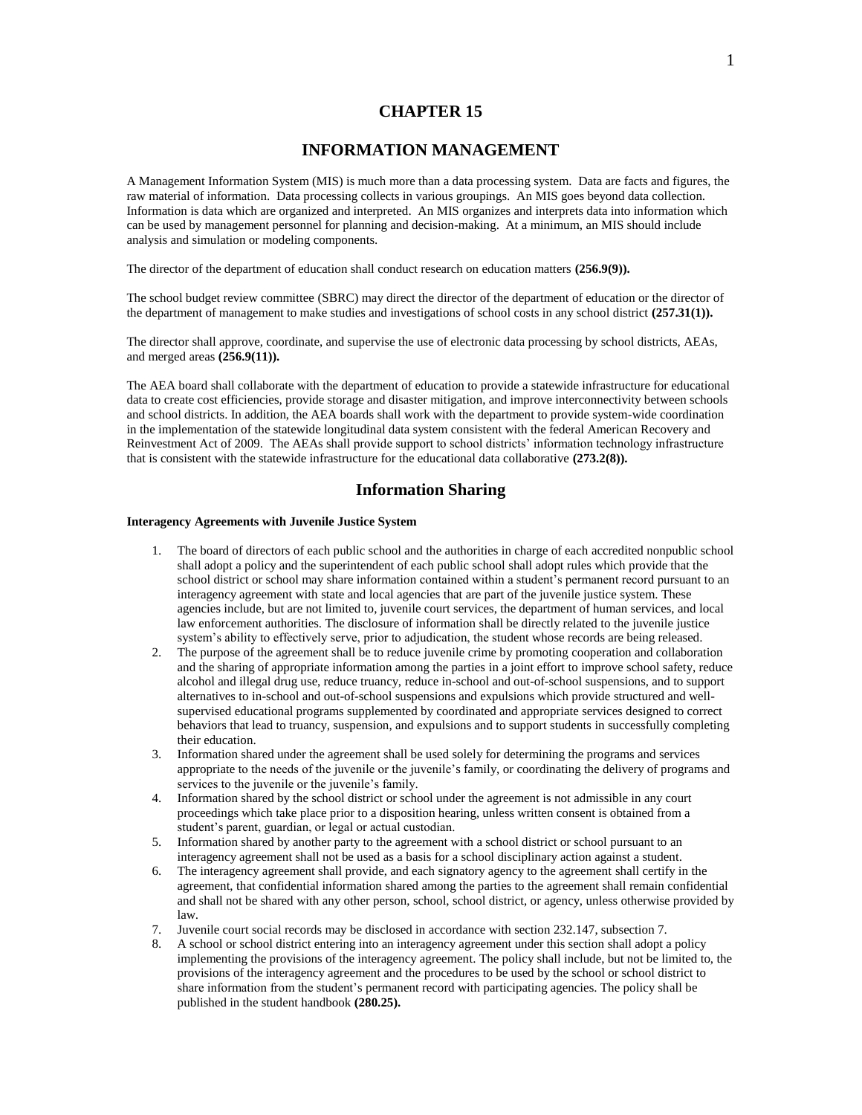## **CHAPTER 15**

## **INFORMATION MANAGEMENT**

A Management Information System (MIS) is much more than a data processing system. Data are facts and figures, the raw material of information. Data processing collects in various groupings. An MIS goes beyond data collection. Information is data which are organized and interpreted. An MIS organizes and interprets data into information which can be used by management personnel for planning and decision-making. At a minimum, an MIS should include analysis and simulation or modeling components.

The director of the department of education shall conduct research on education matters **(256.9(9)).**

The school budget review committee (SBRC) may direct the director of the department of education or the director of the department of management to make studies and investigations of school costs in any school district **(257.31(1)).**

The director shall approve, coordinate, and supervise the use of electronic data processing by school districts, AEAs, and merged areas **(256.9(11)).**

The AEA board shall collaborate with the department of education to provide a statewide infrastructure for educational data to create cost efficiencies, provide storage and disaster mitigation, and improve interconnectivity between schools and school districts. In addition, the AEA boards shall work with the department to provide system-wide coordination in the implementation of the statewide longitudinal data system consistent with the federal American Recovery and Reinvestment Act of 2009. The AEAs shall provide support to school districts' information technology infrastructure that is consistent with the statewide infrastructure for the educational data collaborative **(273.2(8)).**

## **Information Sharing**

### **Interagency Agreements with Juvenile Justice System**

- 1. The board of directors of each public school and the authorities in charge of each accredited nonpublic school shall adopt a policy and the superintendent of each public school shall adopt rules which provide that the school district or school may share information contained within a student's permanent record pursuant to an interagency agreement with state and local agencies that are part of the juvenile justice system. These agencies include, but are not limited to, juvenile court services, the department of human services, and local law enforcement authorities. The disclosure of information shall be directly related to the juvenile justice system's ability to effectively serve, prior to adjudication, the student whose records are being released.
- 2. The purpose of the agreement shall be to reduce juvenile crime by promoting cooperation and collaboration and the sharing of appropriate information among the parties in a joint effort to improve school safety, reduce alcohol and illegal drug use, reduce truancy, reduce in-school and out-of-school suspensions, and to support alternatives to in-school and out-of-school suspensions and expulsions which provide structured and wellsupervised educational programs supplemented by coordinated and appropriate services designed to correct behaviors that lead to truancy, suspension, and expulsions and to support students in successfully completing their education.
- 3. Information shared under the agreement shall be used solely for determining the programs and services appropriate to the needs of the juvenile or the juvenile's family, or coordinating the delivery of programs and services to the juvenile or the juvenile's family.
- 4. Information shared by the school district or school under the agreement is not admissible in any court proceedings which take place prior to a disposition hearing, unless written consent is obtained from a student's parent, guardian, or legal or actual custodian.
- 5. Information shared by another party to the agreement with a school district or school pursuant to an interagency agreement shall not be used as a basis for a school disciplinary action against a student.
- 6. The interagency agreement shall provide, and each signatory agency to the agreement shall certify in the agreement, that confidential information shared among the parties to the agreement shall remain confidential and shall not be shared with any other person, school, school district, or agency, unless otherwise provided by law.
- 7. Juvenile court social records may be disclosed in accordance with section 232.147, subsection 7.
- 8. A school or school district entering into an interagency agreement under this section shall adopt a policy implementing the provisions of the interagency agreement. The policy shall include, but not be limited to, the provisions of the interagency agreement and the procedures to be used by the school or school district to share information from the student's permanent record with participating agencies. The policy shall be published in the student handbook **(280.25).**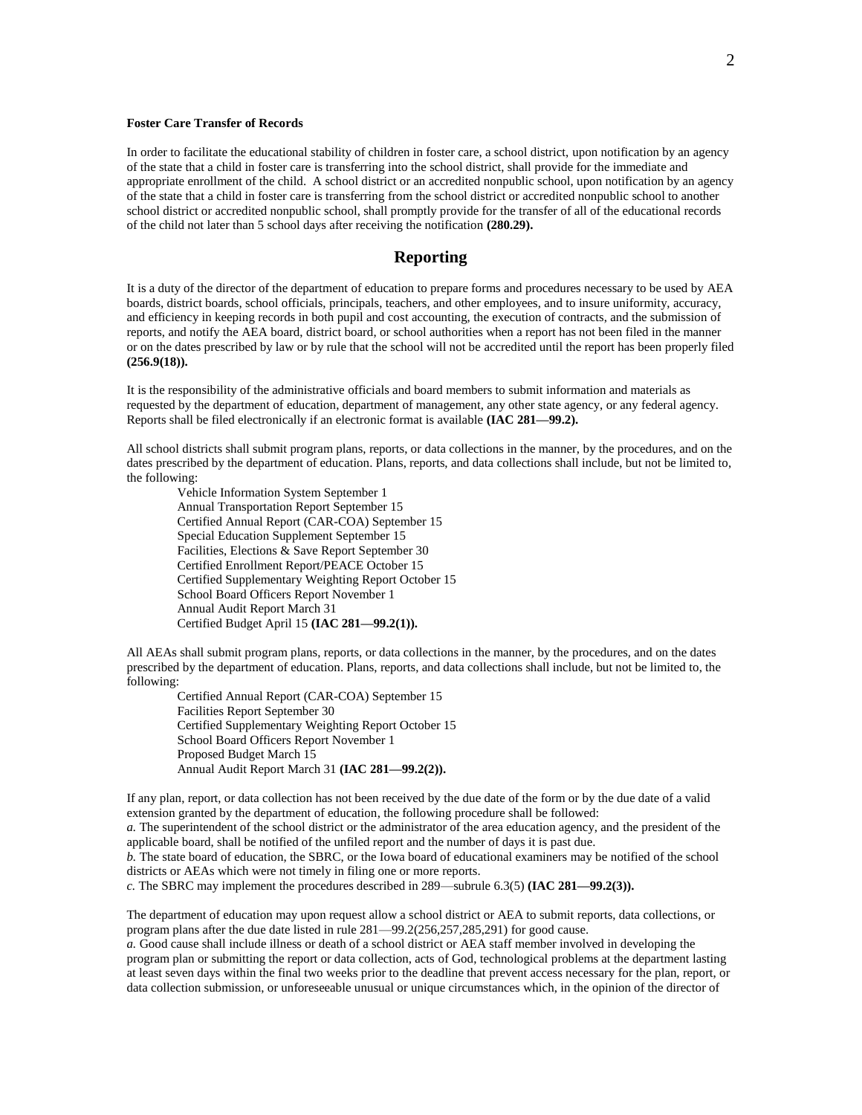### **Foster Care Transfer of Records**

In order to facilitate the educational stability of children in foster care, a school district, upon notification by an agency of the state that a child in foster care is transferring into the school district, shall provide for the immediate and appropriate enrollment of the child. A school district or an accredited nonpublic school, upon notification by an agency of the state that a child in foster care is transferring from the school district or accredited nonpublic school to another school district or accredited nonpublic school, shall promptly provide for the transfer of all of the educational records of the child not later than 5 school days after receiving the notification **(280.29).**

## **Reporting**

It is a duty of the director of the department of education to prepare forms and procedures necessary to be used by AEA boards, district boards, school officials, principals, teachers, and other employees, and to insure uniformity, accuracy, and efficiency in keeping records in both pupil and cost accounting, the execution of contracts, and the submission of reports, and notify the AEA board, district board, or school authorities when a report has not been filed in the manner or on the dates prescribed by law or by rule that the school will not be accredited until the report has been properly filed **(256.9(18)).**

It is the responsibility of the administrative officials and board members to submit information and materials as requested by the department of education, department of management, any other state agency, or any federal agency. Reports shall be filed electronically if an electronic format is available **(IAC 281—99.2).**

All school districts shall submit program plans, reports, or data collections in the manner, by the procedures, and on the dates prescribed by the department of education. Plans, reports, and data collections shall include, but not be limited to, the following:

Vehicle Information System September 1 Annual Transportation Report September 15 Certified Annual Report (CAR-COA) September 15 Special Education Supplement September 15 Facilities, Elections & Save Report September 30 Certified Enrollment Report/PEACE October 15 Certified Supplementary Weighting Report October 15 School Board Officers Report November 1 Annual Audit Report March 31 Certified Budget April 15 **(IAC 281—99.2(1)).**

All AEAs shall submit program plans, reports, or data collections in the manner, by the procedures, and on the dates prescribed by the department of education. Plans, reports, and data collections shall include, but not be limited to, the following:

Certified Annual Report (CAR-COA) September 15 Facilities Report September 30 Certified Supplementary Weighting Report October 15 School Board Officers Report November 1 Proposed Budget March 15 Annual Audit Report March 31 **(IAC 281—99.2(2)).**

If any plan, report, or data collection has not been received by the due date of the form or by the due date of a valid extension granted by the department of education, the following procedure shall be followed:

*a.* The superintendent of the school district or the administrator of the area education agency, and the president of the applicable board, shall be notified of the unfiled report and the number of days it is past due.

*b.* The state board of education, the SBRC, or the Iowa board of educational examiners may be notified of the school districts or AEAs which were not timely in filing one or more reports.

*c.* The SBRC may implement the procedures described in 289—subrule 6.3(5) **(IAC 281—99.2(3)).**

The department of education may upon request allow a school district or AEA to submit reports, data collections, or program plans after the due date listed in rule 281—99.2(256,257,285,291) for good cause.

*a.* Good cause shall include illness or death of a school district or AEA staff member involved in developing the program plan or submitting the report or data collection, acts of God, technological problems at the department lasting at least seven days within the final two weeks prior to the deadline that prevent access necessary for the plan, report, or data collection submission, or unforeseeable unusual or unique circumstances which, in the opinion of the director of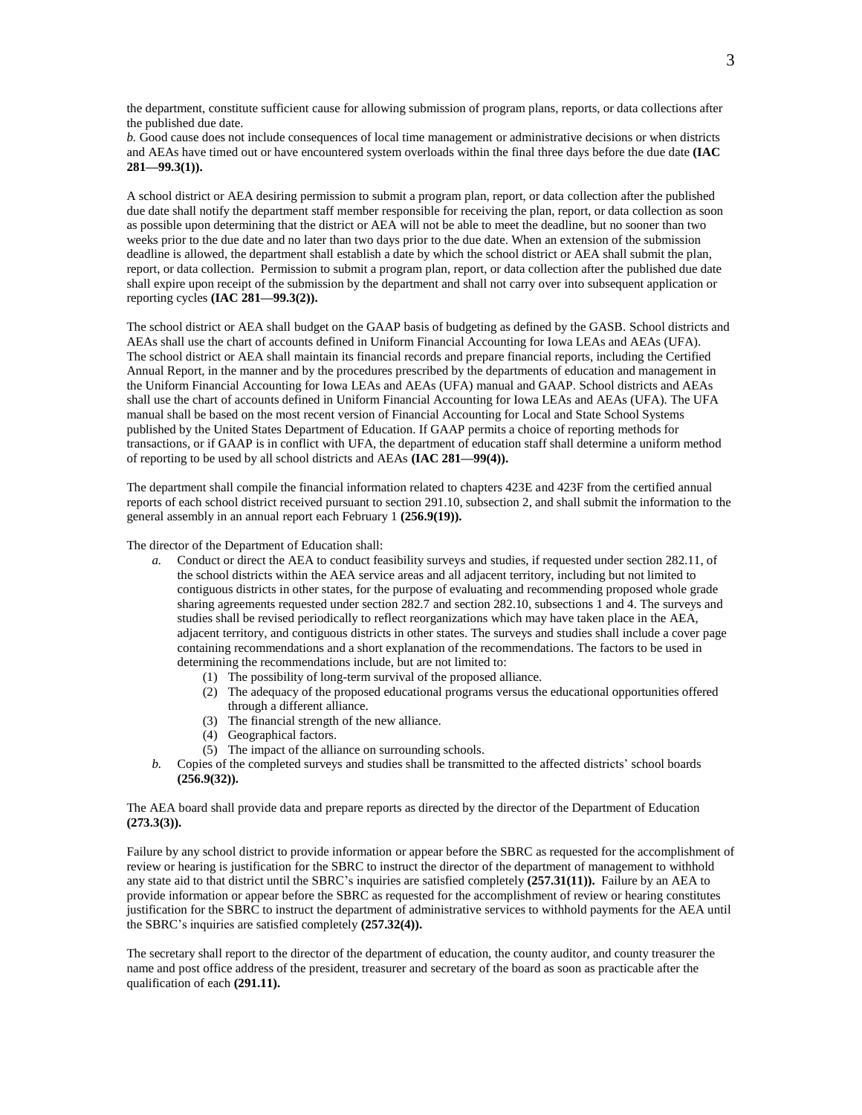the department, constitute sufficient cause for allowing submission of program plans, reports, or data collections after the published due date.

*b.* Good cause does not include consequences of local time management or administrative decisions or when districts and AEAs have timed out or have encountered system overloads within the final three days before the due date **(IAC 281—99.3(1)).**

A school district or AEA desiring permission to submit a program plan, report, or data collection after the published due date shall notify the department staff member responsible for receiving the plan, report, or data collection as soon as possible upon determining that the district or AEA will not be able to meet the deadline, but no sooner than two weeks prior to the due date and no later than two days prior to the due date. When an extension of the submission deadline is allowed, the department shall establish a date by which the school district or AEA shall submit the plan, report, or data collection. Permission to submit a program plan, report, or data collection after the published due date shall expire upon receipt of the submission by the department and shall not carry over into subsequent application or reporting cycles **(IAC 281—99.3(2)).**

The school district or AEA shall budget on the GAAP basis of budgeting as defined by the GASB. School districts and AEAs shall use the chart of accounts defined in Uniform Financial Accounting for Iowa LEAs and AEAs (UFA). The school district or AEA shall maintain its financial records and prepare financial reports, including the Certified Annual Report, in the manner and by the procedures prescribed by the departments of education and management in the Uniform Financial Accounting for Iowa LEAs and AEAs (UFA) manual and GAAP. School districts and AEAs shall use the chart of accounts defined in Uniform Financial Accounting for Iowa LEAs and AEAs (UFA). The UFA manual shall be based on the most recent version of Financial Accounting for Local and State School Systems published by the United States Department of Education. If GAAP permits a choice of reporting methods for transactions, or if GAAP is in conflict with UFA, the department of education staff shall determine a uniform method of reporting to be used by all school districts and AEAs **(IAC 281—99(4)).**

The department shall compile the financial information related to chapters 423E and 423F from the certified annual reports of each school district received pursuant to section 291.10, subsection 2, and shall submit the information to the general assembly in an annual report each February 1 **(256.9(19)).**

The director of the Department of Education shall:

- *a.* Conduct or direct the AEA to conduct feasibility surveys and studies, if requested under section 282.11, of the school districts within the AEA service areas and all adjacent territory, including but not limited to contiguous districts in other states, for the purpose of evaluating and recommending proposed whole grade sharing agreements requested under section 282.7 and section 282.10, subsections 1 and 4. The surveys and studies shall be revised periodically to reflect reorganizations which may have taken place in the AEA, adjacent territory, and contiguous districts in other states. The surveys and studies shall include a cover page containing recommendations and a short explanation of the recommendations. The factors to be used in determining the recommendations include, but are not limited to:
	- (1) The possibility of long-term survival of the proposed alliance.
	- (2) The adequacy of the proposed educational programs versus the educational opportunities offered through a different alliance.
	- (3) The financial strength of the new alliance.
	- (4) Geographical factors.
	- (5) The impact of the alliance on surrounding schools.
- *b.* Copies of the completed surveys and studies shall be transmitted to the affected districts' school boards **(256.9(32)).**

The AEA board shall provide data and prepare reports as directed by the director of the Department of Education **(273.3(3)).**

Failure by any school district to provide information or appear before the SBRC as requested for the accomplishment of review or hearing is justification for the SBRC to instruct the director of the department of management to withhold any state aid to that district until the SBRC's inquiries are satisfied completely **(257.31(11)).** Failure by an AEA to provide information or appear before the SBRC as requested for the accomplishment of review or hearing constitutes justification for the SBRC to instruct the department of administrative services to withhold payments for the AEA until the SBRC's inquiries are satisfied completely **(257.32(4)).**

The secretary shall report to the director of the department of education, the county auditor, and county treasurer the name and post office address of the president, treasurer and secretary of the board as soon as practicable after the qualification of each **(291.11).**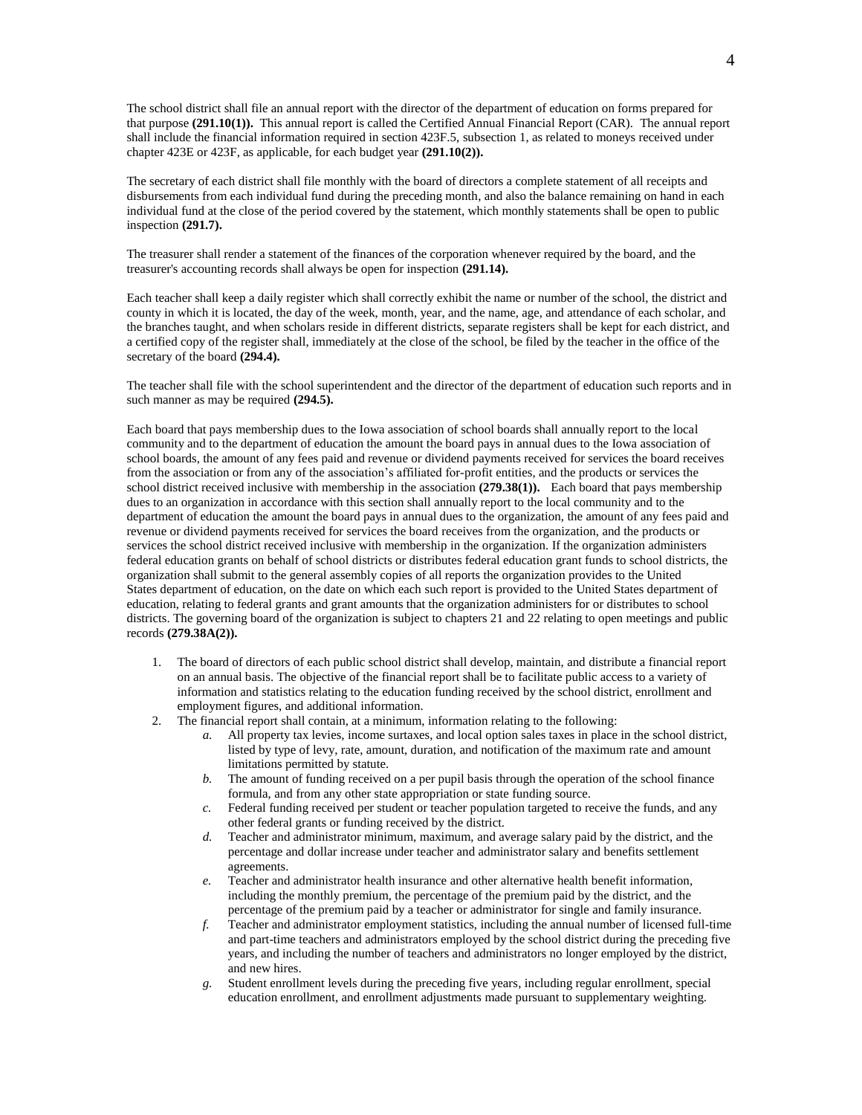The school district shall file an annual report with the director of the department of education on forms prepared for that purpose **(291.10(1)).** This annual report is called the Certified Annual Financial Report (CAR). The annual report shall include the financial information required in section 423F.5, subsection 1, as related to moneys received under chapter 423E or 423F, as applicable, for each budget year **(291.10(2)).**

The secretary of each district shall file monthly with the board of directors a complete statement of all receipts and disbursements from each individual fund during the preceding month, and also the balance remaining on hand in each individual fund at the close of the period covered by the statement, which monthly statements shall be open to public inspection **(291.7).**

The treasurer shall render a statement of the finances of the corporation whenever required by the board, and the treasurer's accounting records shall always be open for inspection **(291.14).**

Each teacher shall keep a daily register which shall correctly exhibit the name or number of the school, the district and county in which it is located, the day of the week, month, year, and the name, age, and attendance of each scholar, and the branches taught, and when scholars reside in different districts, separate registers shall be kept for each district, and a certified copy of the register shall, immediately at the close of the school, be filed by the teacher in the office of the secretary of the board **(294.4).**

The teacher shall file with the school superintendent and the director of the department of education such reports and in such manner as may be required **(294.5).**

Each board that pays membership dues to the Iowa association of school boards shall annually report to the local community and to the department of education the amount the board pays in annual dues to the Iowa association of school boards, the amount of any fees paid and revenue or dividend payments received for services the board receives from the association or from any of the association's affiliated for-profit entities, and the products or services the school district received inclusive with membership in the association **(279.38(1)).** Each board that pays membership dues to an organization in accordance with this section shall annually report to the local community and to the department of education the amount the board pays in annual dues to the organization, the amount of any fees paid and revenue or dividend payments received for services the board receives from the organization, and the products or services the school district received inclusive with membership in the organization. If the organization administers federal education grants on behalf of school districts or distributes federal education grant funds to school districts, the organization shall submit to the general assembly copies of all reports the organization provides to the United States department of education, on the date on which each such report is provided to the United States department of education, relating to federal grants and grant amounts that the organization administers for or distributes to school districts. The governing board of the organization is subject to chapters 21 and 22 relating to open meetings and public records **(279.38A(2)).**

- 1. The board of directors of each public school district shall develop, maintain, and distribute a financial report on an annual basis. The objective of the financial report shall be to facilitate public access to a variety of information and statistics relating to the education funding received by the school district, enrollment and employment figures, and additional information.
- 2. The financial report shall contain, at a minimum, information relating to the following:
	- *a.* All property tax levies, income surtaxes, and local option sales taxes in place in the school district, listed by type of levy, rate, amount, duration, and notification of the maximum rate and amount limitations permitted by statute.
	- *b.* The amount of funding received on a per pupil basis through the operation of the school finance formula, and from any other state appropriation or state funding source.
	- *c.* Federal funding received per student or teacher population targeted to receive the funds, and any other federal grants or funding received by the district.
	- *d.* Teacher and administrator minimum, maximum, and average salary paid by the district, and the percentage and dollar increase under teacher and administrator salary and benefits settlement agreements.
	- *e.* Teacher and administrator health insurance and other alternative health benefit information, including the monthly premium, the percentage of the premium paid by the district, and the percentage of the premium paid by a teacher or administrator for single and family insurance.
	- *f.* Teacher and administrator employment statistics, including the annual number of licensed full-time and part-time teachers and administrators employed by the school district during the preceding five years, and including the number of teachers and administrators no longer employed by the district, and new hires.
	- *g.* Student enrollment levels during the preceding five years, including regular enrollment, special education enrollment, and enrollment adjustments made pursuant to supplementary weighting.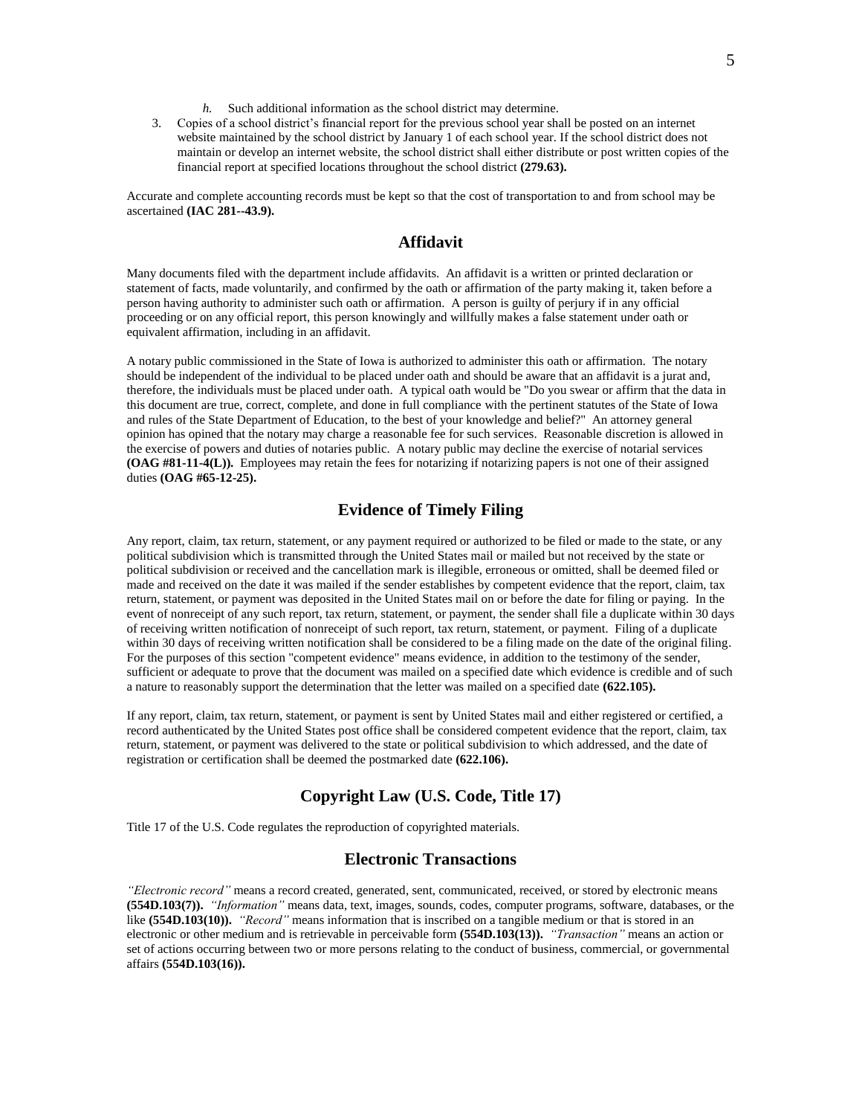- *h.* Such additional information as the school district may determine.
- 3. Copies of a school district's financial report for the previous school year shall be posted on an internet website maintained by the school district by January 1 of each school year. If the school district does not maintain or develop an internet website, the school district shall either distribute or post written copies of the financial report at specified locations throughout the school district **(279.63).**

Accurate and complete accounting records must be kept so that the cost of transportation to and from school may be ascertained **(IAC 281--43.9).**

# **Affidavit**

Many documents filed with the department include affidavits. An affidavit is a written or printed declaration or statement of facts, made voluntarily, and confirmed by the oath or affirmation of the party making it, taken before a person having authority to administer such oath or affirmation. A person is guilty of perjury if in any official proceeding or on any official report, this person knowingly and willfully makes a false statement under oath or equivalent affirmation, including in an affidavit.

A notary public commissioned in the State of Iowa is authorized to administer this oath or affirmation. The notary should be independent of the individual to be placed under oath and should be aware that an affidavit is a jurat and, therefore, the individuals must be placed under oath. A typical oath would be "Do you swear or affirm that the data in this document are true, correct, complete, and done in full compliance with the pertinent statutes of the State of Iowa and rules of the State Department of Education, to the best of your knowledge and belief?" An attorney general opinion has opined that the notary may charge a reasonable fee for such services. Reasonable discretion is allowed in the exercise of powers and duties of notaries public. A notary public may decline the exercise of notarial services **(OAG #81-11-4(L)).** Employees may retain the fees for notarizing if notarizing papers is not one of their assigned duties **(OAG #65-12-25).**

# **Evidence of Timely Filing**

Any report, claim, tax return, statement, or any payment required or authorized to be filed or made to the state, or any political subdivision which is transmitted through the United States mail or mailed but not received by the state or political subdivision or received and the cancellation mark is illegible, erroneous or omitted, shall be deemed filed or made and received on the date it was mailed if the sender establishes by competent evidence that the report, claim, tax return, statement, or payment was deposited in the United States mail on or before the date for filing or paying. In the event of nonreceipt of any such report, tax return, statement, or payment, the sender shall file a duplicate within 30 days of receiving written notification of nonreceipt of such report, tax return, statement, or payment. Filing of a duplicate within 30 days of receiving written notification shall be considered to be a filing made on the date of the original filing. For the purposes of this section "competent evidence" means evidence, in addition to the testimony of the sender, sufficient or adequate to prove that the document was mailed on a specified date which evidence is credible and of such a nature to reasonably support the determination that the letter was mailed on a specified date **(622.105).**

If any report, claim, tax return, statement, or payment is sent by United States mail and either registered or certified, a record authenticated by the United States post office shall be considered competent evidence that the report, claim, tax return, statement, or payment was delivered to the state or political subdivision to which addressed, and the date of registration or certification shall be deemed the postmarked date **(622.106).**

## **Copyright Law (U.S. Code, Title 17)**

Title 17 of the U.S. Code regulates the reproduction of copyrighted materials.

# **Electronic Transactions**

*"Electronic record"* means a record created, generated, sent, communicated, received, or stored by electronic means **(554D.103(7)).** *"Information"* means data, text, images, sounds, codes, computer programs, software, databases, or the like **(554D.103(10)).** *"Record"* means information that is inscribed on a tangible medium or that is stored in an electronic or other medium and is retrievable in perceivable form **(554D.103(13)).** *"Transaction"* means an action or set of actions occurring between two or more persons relating to the conduct of business, commercial, or governmental affairs **(554D.103(16)).**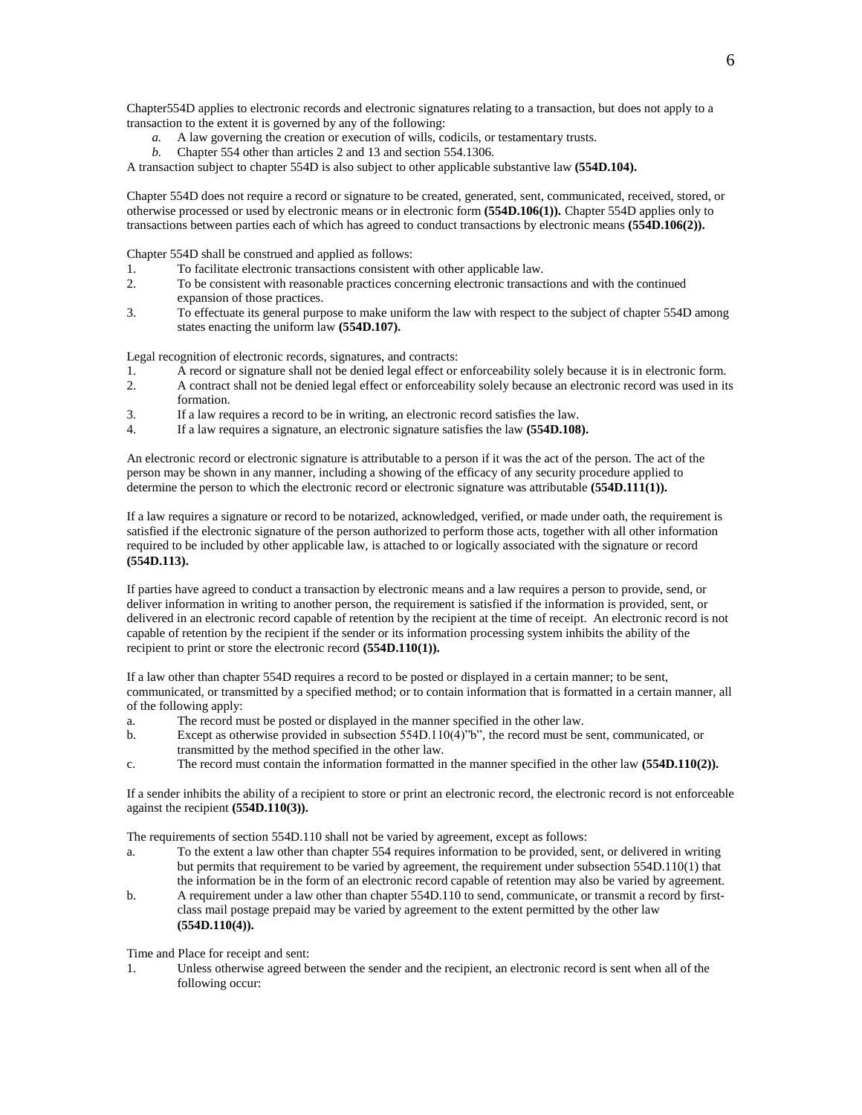Chapter554D applies to electronic records and electronic signatures relating to a transaction, but does not apply to a transaction to the extent it is governed by any of the following:

- *a.* A law governing the creation or execution of wills, codicils, or testamentary trusts.
- *b.* Chapter 554 other than articles 2 and 13 and section 554.1306.

A transaction subject to chapter 554D is also subject to other applicable substantive law **(554D.104).**

Chapter 554D does not require a record or signature to be created, generated, sent, communicated, received, stored, or otherwise processed or used by electronic means or in electronic form **(554D.106(1)).** Chapter 554D applies only to transactions between parties each of which has agreed to conduct transactions by electronic means **(554D.106(2)).**

Chapter 554D shall be construed and applied as follows:

- 1. To facilitate electronic transactions consistent with other applicable law.
- 2. To be consistent with reasonable practices concerning electronic transactions and with the continued expansion of those practices.
- 3. To effectuate its general purpose to make uniform the law with respect to the subject of chapter 554D among states enacting the uniform law **(554D.107).**

Legal recognition of electronic records, signatures, and contracts:

- 1. A record or signature shall not be denied legal effect or enforceability solely because it is in electronic form.
- 2. A contract shall not be denied legal effect or enforceability solely because an electronic record was used in its formation.
- 3. If a law requires a record to be in writing, an electronic record satisfies the law.
- 4. If a law requires a signature, an electronic signature satisfies the law **(554D.108).**

An electronic record or electronic signature is attributable to a person if it was the act of the person. The act of the person may be shown in any manner, including a showing of the efficacy of any security procedure applied to determine the person to which the electronic record or electronic signature was attributable **(554D.111(1)).**

If a law requires a signature or record to be notarized, acknowledged, verified, or made under oath, the requirement is satisfied if the electronic signature of the person authorized to perform those acts, together with all other information required to be included by other applicable law, is attached to or logically associated with the signature or record **(554D.113).**

If parties have agreed to conduct a transaction by electronic means and a law requires a person to provide, send, or deliver information in writing to another person, the requirement is satisfied if the information is provided, sent, or delivered in an electronic record capable of retention by the recipient at the time of receipt. An electronic record is not capable of retention by the recipient if the sender or its information processing system inhibits the ability of the recipient to print or store the electronic record **(554D.110(1)).**

If a law other than chapter 554D requires a record to be posted or displayed in a certain manner; to be sent, communicated, or transmitted by a specified method; or to contain information that is formatted in a certain manner, all of the following apply:

- a. The record must be posted or displayed in the manner specified in the other law.
- b. Except as otherwise provided in subsection 554D.110(4)"b", the record must be sent, communicated, or transmitted by the method specified in the other law.
- c. The record must contain the information formatted in the manner specified in the other law **(554D.110(2)).**

If a sender inhibits the ability of a recipient to store or print an electronic record, the electronic record is not enforceable against the recipient **(554D.110(3)).**

The requirements of section 554D.110 shall not be varied by agreement, except as follows:

- a. To the extent a law other than chapter 554 requires information to be provided, sent, or delivered in writing but permits that requirement to be varied by agreement, the requirement under subsection 554D.110(1) that the information be in the form of an electronic record capable of retention may also be varied by agreement.
- b. A requirement under a law other than chapter 554D.110 to send, communicate, or transmit a record by firstclass mail postage prepaid may be varied by agreement to the extent permitted by the other law **(554D.110(4)).**

Time and Place for receipt and sent:

1. Unless otherwise agreed between the sender and the recipient, an electronic record is sent when all of the following occur: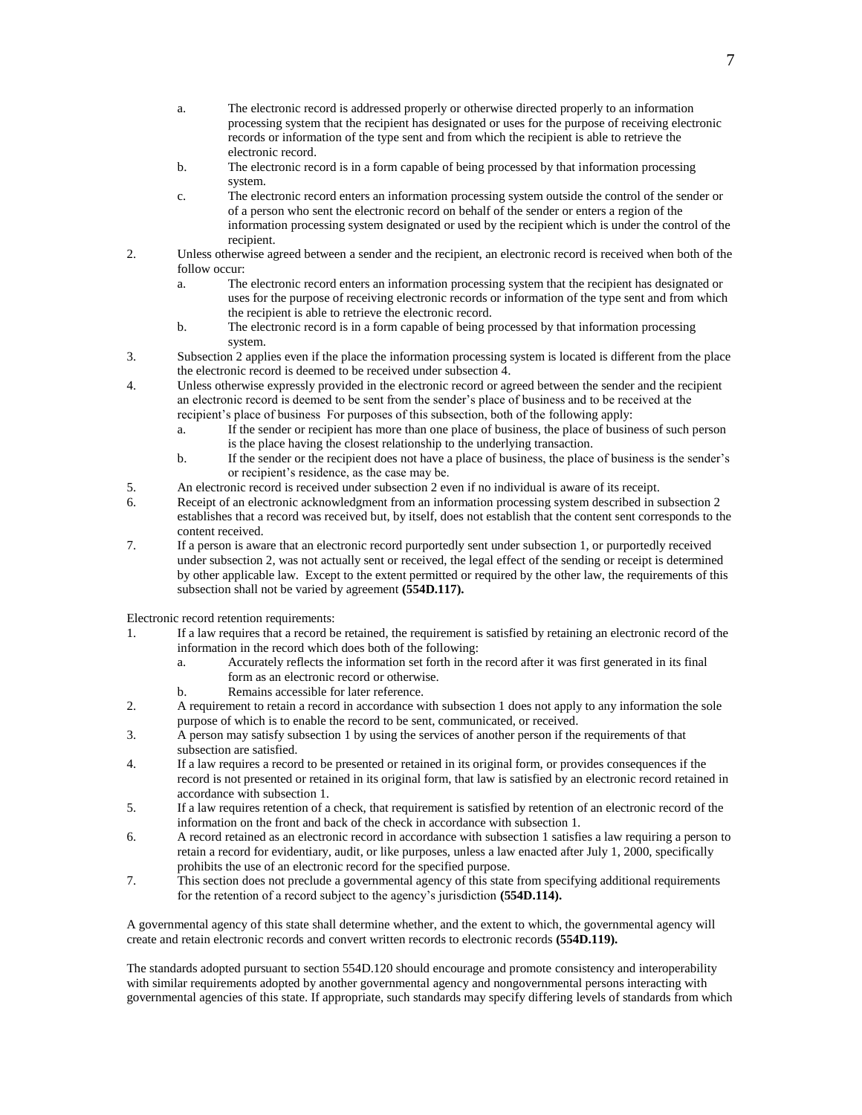- a. The electronic record is addressed properly or otherwise directed properly to an information processing system that the recipient has designated or uses for the purpose of receiving electronic records or information of the type sent and from which the recipient is able to retrieve the electronic record.
- b. The electronic record is in a form capable of being processed by that information processing system.
- c. The electronic record enters an information processing system outside the control of the sender or of a person who sent the electronic record on behalf of the sender or enters a region of the information processing system designated or used by the recipient which is under the control of the recipient.
- 2. Unless otherwise agreed between a sender and the recipient, an electronic record is received when both of the follow occur:
	- a. The electronic record enters an information processing system that the recipient has designated or uses for the purpose of receiving electronic records or information of the type sent and from which the recipient is able to retrieve the electronic record.
	- b. The electronic record is in a form capable of being processed by that information processing system.
- 3. Subsection 2 applies even if the place the information processing system is located is different from the place the electronic record is deemed to be received under subsection 4.
- 4. Unless otherwise expressly provided in the electronic record or agreed between the sender and the recipient an electronic record is deemed to be sent from the sender's place of business and to be received at the recipient's place of business For purposes of this subsection, both of the following apply:
	- a. If the sender or recipient has more than one place of business, the place of business of such person is the place having the closest relationship to the underlying transaction.
	- b. If the sender or the recipient does not have a place of business, the place of business is the sender's or recipient's residence, as the case may be.
- 5. An electronic record is received under subsection 2 even if no individual is aware of its receipt.
- 6. Receipt of an electronic acknowledgment from an information processing system described in subsection 2 establishes that a record was received but, by itself, does not establish that the content sent corresponds to the content received.
- 7. If a person is aware that an electronic record purportedly sent under subsection 1, or purportedly received under subsection 2, was not actually sent or received, the legal effect of the sending or receipt is determined by other applicable law. Except to the extent permitted or required by the other law, the requirements of this subsection shall not be varied by agreement **(554D.117).**

Electronic record retention requirements:

- 1. If a law requires that a record be retained, the requirement is satisfied by retaining an electronic record of the information in the record which does both of the following:
	- a. Accurately reflects the information set forth in the record after it was first generated in its final form as an electronic record or otherwise.
	- b. Remains accessible for later reference.
- 2. A requirement to retain a record in accordance with subsection 1 does not apply to any information the sole purpose of which is to enable the record to be sent, communicated, or received.
- 3. A person may satisfy subsection 1 by using the services of another person if the requirements of that subsection are satisfied.
- 4. If a law requires a record to be presented or retained in its original form, or provides consequences if the record is not presented or retained in its original form, that law is satisfied by an electronic record retained in accordance with subsection 1.
- 5. If a law requires retention of a check, that requirement is satisfied by retention of an electronic record of the information on the front and back of the check in accordance with subsection 1.
- 6. A record retained as an electronic record in accordance with subsection 1 satisfies a law requiring a person to retain a record for evidentiary, audit, or like purposes, unless a law enacted after July 1, 2000, specifically prohibits the use of an electronic record for the specified purpose.
- 7. This section does not preclude a governmental agency of this state from specifying additional requirements for the retention of a record subject to the agency's jurisdiction **(554D.114).**

A governmental agency of this state shall determine whether, and the extent to which, the governmental agency will create and retain electronic records and convert written records to electronic records **(554D.119).**

The standards adopted pursuant to section 554D.120 should encourage and promote consistency and interoperability with similar requirements adopted by another governmental agency and nongovernmental persons interacting with governmental agencies of this state. If appropriate, such standards may specify differing levels of standards from which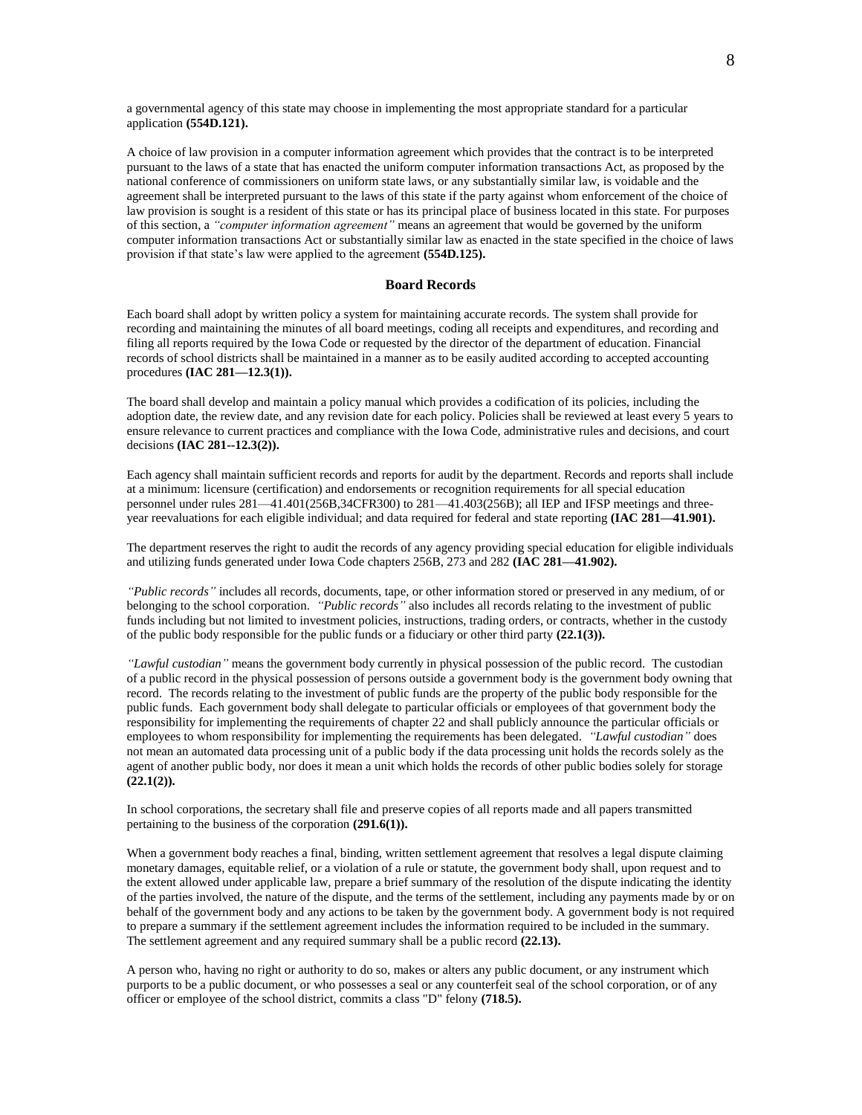a governmental agency of this state may choose in implementing the most appropriate standard for a particular application **(554D.121).**

A choice of law provision in a computer information agreement which provides that the contract is to be interpreted pursuant to the laws of a state that has enacted the uniform computer information transactions Act, as proposed by the national conference of commissioners on uniform state laws, or any substantially similar law, is voidable and the agreement shall be interpreted pursuant to the laws of this state if the party against whom enforcement of the choice of law provision is sought is a resident of this state or has its principal place of business located in this state. For purposes of this section, a *"computer information agreement"* means an agreement that would be governed by the uniform computer information transactions Act or substantially similar law as enacted in the state specified in the choice of laws provision if that state's law were applied to the agreement **(554D.125).**

### **Board Records**

Each board shall adopt by written policy a system for maintaining accurate records. The system shall provide for recording and maintaining the minutes of all board meetings, coding all receipts and expenditures, and recording and filing all reports required by the Iowa Code or requested by the director of the department of education. Financial records of school districts shall be maintained in a manner as to be easily audited according to accepted accounting procedures **(IAC 281—12.3(1)).**

The board shall develop and maintain a policy manual which provides a codification of its policies, including the adoption date, the review date, and any revision date for each policy. Policies shall be reviewed at least every 5 years to ensure relevance to current practices and compliance with the Iowa Code, administrative rules and decisions, and court decisions **(IAC 281--12.3(2)).**

Each agency shall maintain sufficient records and reports for audit by the department. Records and reports shall include at a minimum: licensure (certification) and endorsements or recognition requirements for all special education personnel under rules 281—41.401(256B,34CFR300) to 281—41.403(256B); all IEP and IFSP meetings and threeyear reevaluations for each eligible individual; and data required for federal and state reporting **(IAC 281—41.901).**

The department reserves the right to audit the records of any agency providing special education for eligible individuals and utilizing funds generated under Iowa Code chapters 256B, 273 and 282 **(IAC 281—41.902).**

*"Public records"* includes all records, documents, tape, or other information stored or preserved in any medium, of or belonging to the school corporation. *"Public records"* also includes all records relating to the investment of public funds including but not limited to investment policies, instructions, trading orders, or contracts, whether in the custody of the public body responsible for the public funds or a fiduciary or other third party **(22.1(3)).**

*"Lawful custodian"* means the government body currently in physical possession of the public record. The custodian of a public record in the physical possession of persons outside a government body is the government body owning that record. The records relating to the investment of public funds are the property of the public body responsible for the public funds. Each government body shall delegate to particular officials or employees of that government body the responsibility for implementing the requirements of chapter 22 and shall publicly announce the particular officials or employees to whom responsibility for implementing the requirements has been delegated. *"Lawful custodian"* does not mean an automated data processing unit of a public body if the data processing unit holds the records solely as the agent of another public body, nor does it mean a unit which holds the records of other public bodies solely for storage **(22.1(2)).**

In school corporations, the secretary shall file and preserve copies of all reports made and all papers transmitted pertaining to the business of the corporation **(291.6(1)).**

When a government body reaches a final, binding, written settlement agreement that resolves a legal dispute claiming monetary damages, equitable relief, or a violation of a rule or statute, the government body shall, upon request and to the extent allowed under applicable law, prepare a brief summary of the resolution of the dispute indicating the identity of the parties involved, the nature of the dispute, and the terms of the settlement, including any payments made by or on behalf of the government body and any actions to be taken by the government body. A government body is not required to prepare a summary if the settlement agreement includes the information required to be included in the summary. The settlement agreement and any required summary shall be a public record **(22.13).**

A person who, having no right or authority to do so, makes or alters any public document, or any instrument which purports to be a public document, or who possesses a seal or any counterfeit seal of the school corporation, or of any officer or employee of the school district, commits a class "D" felony **(718.5).**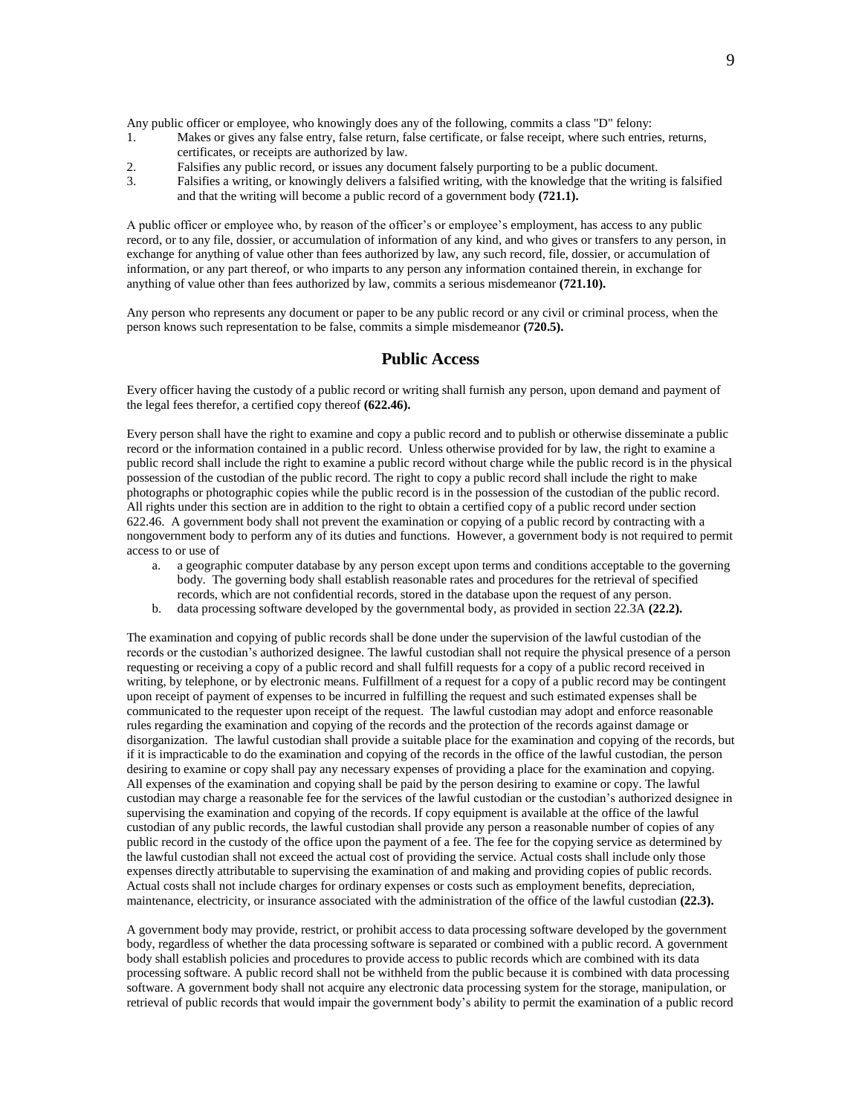Any public officer or employee, who knowingly does any of the following, commits a class "D" felony:

- 1. Makes or gives any false entry, false return, false certificate, or false receipt, where such entries, returns, certificates, or receipts are authorized by law.
- 2. Falsifies any public record, or issues any document falsely purporting to be a public document.
- 3. Falsifies a writing, or knowingly delivers a falsified writing, with the knowledge that the writing is falsified and that the writing will become a public record of a government body **(721.1).**

A public officer or employee who, by reason of the officer's or employee's employment, has access to any public record, or to any file, dossier, or accumulation of information of any kind, and who gives or transfers to any person, in exchange for anything of value other than fees authorized by law, any such record, file, dossier, or accumulation of information, or any part thereof, or who imparts to any person any information contained therein, in exchange for anything of value other than fees authorized by law, commits a serious misdemeanor **(721.10).**

Any person who represents any document or paper to be any public record or any civil or criminal process, when the person knows such representation to be false, commits a simple misdemeanor **(720.5).**

# **Public Access**

Every officer having the custody of a public record or writing shall furnish any person, upon demand and payment of the legal fees therefor, a certified copy thereof **(622.46).**

Every person shall have the right to examine and copy a public record and to publish or otherwise disseminate a public record or the information contained in a public record. Unless otherwise provided for by law, the right to examine a public record shall include the right to examine a public record without charge while the public record is in the physical possession of the custodian of the public record. The right to copy a public record shall include the right to make photographs or photographic copies while the public record is in the possession of the custodian of the public record. All rights under this section are in addition to the right to obtain a certified copy of a public record under section 622.46. A government body shall not prevent the examination or copying of a public record by contracting with a nongovernment body to perform any of its duties and functions. However, a government body is not required to permit access to or use of

- a. a geographic computer database by any person except upon terms and conditions acceptable to the governing body. The governing body shall establish reasonable rates and procedures for the retrieval of specified records, which are not confidential records, stored in the database upon the request of any person.
- b. data processing software developed by the governmental body, as provided in section 22.3A **(22.2).**

The examination and copying of public records shall be done under the supervision of the lawful custodian of the records or the custodian's authorized designee. The lawful custodian shall not require the physical presence of a person requesting or receiving a copy of a public record and shall fulfill requests for a copy of a public record received in writing, by telephone, or by electronic means. Fulfillment of a request for a copy of a public record may be contingent upon receipt of payment of expenses to be incurred in fulfilling the request and such estimated expenses shall be communicated to the requester upon receipt of the request. The lawful custodian may adopt and enforce reasonable rules regarding the examination and copying of the records and the protection of the records against damage or disorganization. The lawful custodian shall provide a suitable place for the examination and copying of the records, but if it is impracticable to do the examination and copying of the records in the office of the lawful custodian, the person desiring to examine or copy shall pay any necessary expenses of providing a place for the examination and copying. All expenses of the examination and copying shall be paid by the person desiring to examine or copy. The lawful custodian may charge a reasonable fee for the services of the lawful custodian or the custodian's authorized designee in supervising the examination and copying of the records. If copy equipment is available at the office of the lawful custodian of any public records, the lawful custodian shall provide any person a reasonable number of copies of any public record in the custody of the office upon the payment of a fee. The fee for the copying service as determined by the lawful custodian shall not exceed the actual cost of providing the service. Actual costs shall include only those expenses directly attributable to supervising the examination of and making and providing copies of public records. Actual costs shall not include charges for ordinary expenses or costs such as employment benefits, depreciation, maintenance, electricity, or insurance associated with the administration of the office of the lawful custodian **(22.3).**

A government body may provide, restrict, or prohibit access to data processing software developed by the government body, regardless of whether the data processing software is separated or combined with a public record. A government body shall establish policies and procedures to provide access to public records which are combined with its data processing software. A public record shall not be withheld from the public because it is combined with data processing software. A government body shall not acquire any electronic data processing system for the storage, manipulation, or retrieval of public records that would impair the government body's ability to permit the examination of a public record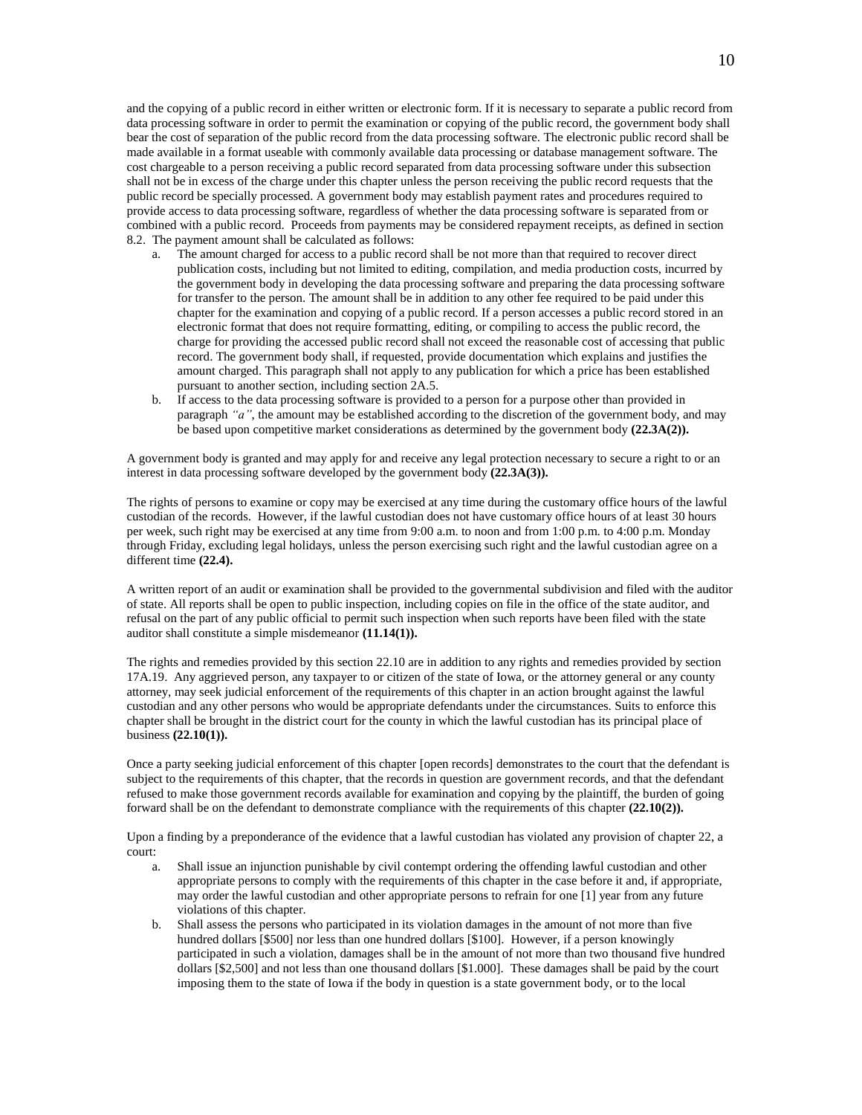and the copying of a public record in either written or electronic form. If it is necessary to separate a public record from data processing software in order to permit the examination or copying of the public record, the government body shall bear the cost of separation of the public record from the data processing software. The electronic public record shall be made available in a format useable with commonly available data processing or database management software. The cost chargeable to a person receiving a public record separated from data processing software under this subsection shall not be in excess of the charge under this chapter unless the person receiving the public record requests that the public record be specially processed. A government body may establish payment rates and procedures required to provide access to data processing software, regardless of whether the data processing software is separated from or combined with a public record. Proceeds from payments may be considered repayment receipts, as defined in section 8.2. The payment amount shall be calculated as follows:

- a. The amount charged for access to a public record shall be not more than that required to recover direct publication costs, including but not limited to editing, compilation, and media production costs, incurred by the government body in developing the data processing software and preparing the data processing software for transfer to the person. The amount shall be in addition to any other fee required to be paid under this chapter for the examination and copying of a public record. If a person accesses a public record stored in an electronic format that does not require formatting, editing, or compiling to access the public record, the charge for providing the accessed public record shall not exceed the reasonable cost of accessing that public record. The government body shall, if requested, provide documentation which explains and justifies the amount charged. This paragraph shall not apply to any publication for which a price has been established pursuant to another section, including section 2A.5.
- b. If access to the data processing software is provided to a person for a purpose other than provided in paragraph *"a"*, the amount may be established according to the discretion of the government body, and may be based upon competitive market considerations as determined by the government body **(22.3A(2)).**

A government body is granted and may apply for and receive any legal protection necessary to secure a right to or an interest in data processing software developed by the government body **(22.3A(3)).**

The rights of persons to examine or copy may be exercised at any time during the customary office hours of the lawful custodian of the records. However, if the lawful custodian does not have customary office hours of at least 30 hours per week, such right may be exercised at any time from 9:00 a.m. to noon and from 1:00 p.m. to 4:00 p.m. Monday through Friday, excluding legal holidays, unless the person exercising such right and the lawful custodian agree on a different time **(22.4).**

A written report of an audit or examination shall be provided to the governmental subdivision and filed with the auditor of state. All reports shall be open to public inspection, including copies on file in the office of the state auditor, and refusal on the part of any public official to permit such inspection when such reports have been filed with the state auditor shall constitute a simple misdemeanor **(11.14(1)).**

The rights and remedies provided by this section 22.10 are in addition to any rights and remedies provided by section 17A.19. Any aggrieved person, any taxpayer to or citizen of the state of Iowa, or the attorney general or any county attorney, may seek judicial enforcement of the requirements of this chapter in an action brought against the lawful custodian and any other persons who would be appropriate defendants under the circumstances. Suits to enforce this chapter shall be brought in the district court for the county in which the lawful custodian has its principal place of business **(22.10(1)).**

Once a party seeking judicial enforcement of this chapter [open records] demonstrates to the court that the defendant is subject to the requirements of this chapter, that the records in question are government records, and that the defendant refused to make those government records available for examination and copying by the plaintiff, the burden of going forward shall be on the defendant to demonstrate compliance with the requirements of this chapter **(22.10(2)).**

Upon a finding by a preponderance of the evidence that a lawful custodian has violated any provision of chapter 22, a court:

- a. Shall issue an injunction punishable by civil contempt ordering the offending lawful custodian and other appropriate persons to comply with the requirements of this chapter in the case before it and, if appropriate, may order the lawful custodian and other appropriate persons to refrain for one [1] year from any future violations of this chapter.
- b. Shall assess the persons who participated in its violation damages in the amount of not more than five hundred dollars [\$500] nor less than one hundred dollars [\$100]. However, if a person knowingly participated in such a violation, damages shall be in the amount of not more than two thousand five hundred dollars [\$2,500] and not less than one thousand dollars [\$1.000]. These damages shall be paid by the court imposing them to the state of Iowa if the body in question is a state government body, or to the local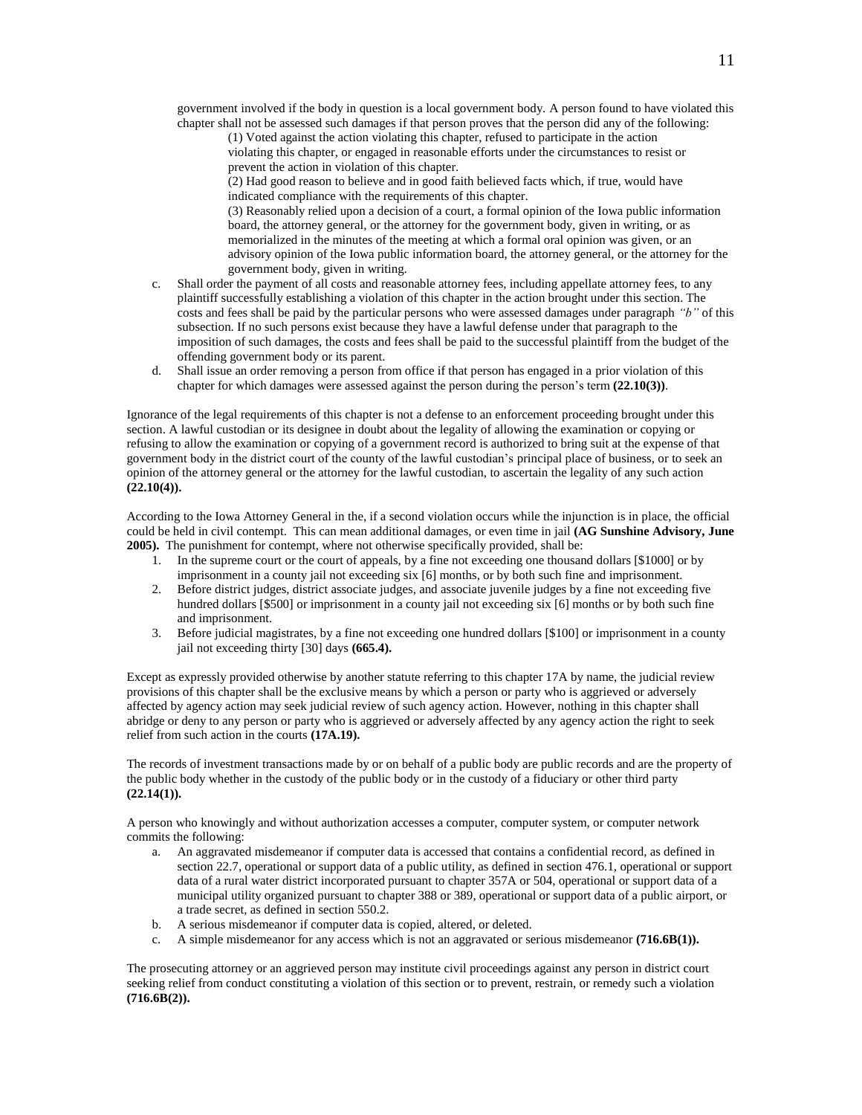government involved if the body in question is a local government body. A person found to have violated this chapter shall not be assessed such damages if that person proves that the person did any of the following:

(1) Voted against the action violating this chapter, refused to participate in the action violating this chapter, or engaged in reasonable efforts under the circumstances to resist or prevent the action in violation of this chapter.

(2) Had good reason to believe and in good faith believed facts which, if true, would have indicated compliance with the requirements of this chapter.

(3) Reasonably relied upon a decision of a court, a formal opinion of the Iowa public information board, the attorney general, or the attorney for the government body, given in writing, or as memorialized in the minutes of the meeting at which a formal oral opinion was given, or an advisory opinion of the Iowa public information board, the attorney general, or the attorney for the government body, given in writing.

- c. Shall order the payment of all costs and reasonable attorney fees, including appellate attorney fees, to any plaintiff successfully establishing a violation of this chapter in the action brought under this section. The costs and fees shall be paid by the particular persons who were assessed damages under paragraph *"b"* of this subsection. If no such persons exist because they have a lawful defense under that paragraph to the imposition of such damages, the costs and fees shall be paid to the successful plaintiff from the budget of the offending government body or its parent.
- d. Shall issue an order removing a person from office if that person has engaged in a prior violation of this chapter for which damages were assessed against the person during the person's term **(22.10(3))**.

Ignorance of the legal requirements of this chapter is not a defense to an enforcement proceeding brought under this section. A lawful custodian or its designee in doubt about the legality of allowing the examination or copying or refusing to allow the examination or copying of a government record is authorized to bring suit at the expense of that government body in the district court of the county of the lawful custodian's principal place of business, or to seek an opinion of the attorney general or the attorney for the lawful custodian, to ascertain the legality of any such action **(22.10(4)).**

According to the Iowa Attorney General in the, if a second violation occurs while the injunction is in place, the official could be held in civil contempt. This can mean additional damages, or even time in jail **(AG Sunshine Advisory, June 2005).** The punishment for contempt, where not otherwise specifically provided, shall be:

- 1. In the supreme court or the court of appeals, by a fine not exceeding one thousand dollars [\$1000] or by imprisonment in a county jail not exceeding six [6] months, or by both such fine and imprisonment.
- 2. Before district judges, district associate judges, and associate juvenile judges by a fine not exceeding five hundred dollars [\$500] or imprisonment in a county jail not exceeding six [6] months or by both such fine and imprisonment.
- 3. Before judicial magistrates, by a fine not exceeding one hundred dollars [\$100] or imprisonment in a county jail not exceeding thirty [30] days **(665.4).**

Except as expressly provided otherwise by another statute referring to this chapter 17A by name, the judicial review provisions of this chapter shall be the exclusive means by which a person or party who is aggrieved or adversely affected by agency action may seek judicial review of such agency action. However, nothing in this chapter shall abridge or deny to any person or party who is aggrieved or adversely affected by any agency action the right to seek relief from such action in the courts **(17A.19).**

The records of investment transactions made by or on behalf of a public body are public records and are the property of the public body whether in the custody of the public body or in the custody of a fiduciary or other third party **(22.14(1)).**

A person who knowingly and without authorization accesses a computer, computer system, or computer network commits the following:

- a. An aggravated misdemeanor if computer data is accessed that contains a confidential record, as defined in section 22.7, operational or support data of a public utility, as defined in section 476.1, operational or support data of a rural water district incorporated pursuant to chapter 357A or 504, operational or support data of a municipal utility organized pursuant to chapter 388 or 389, operational or support data of a public airport, or a trade secret, as defined in section 550.2.
- b. A serious misdemeanor if computer data is copied, altered, or deleted.
- c. A simple misdemeanor for any access which is not an aggravated or serious misdemeanor **(716.6B(1)).**

The prosecuting attorney or an aggrieved person may institute civil proceedings against any person in district court seeking relief from conduct constituting a violation of this section or to prevent, restrain, or remedy such a violation **(716.6B(2)).**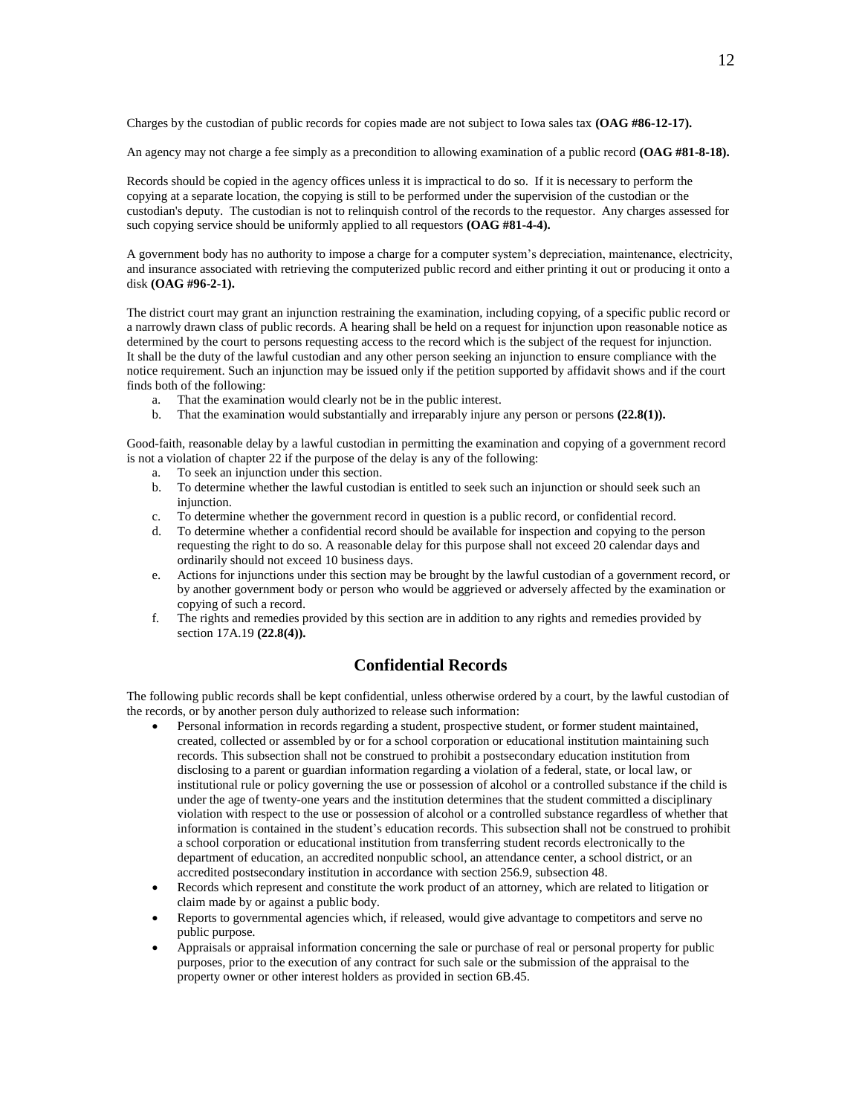Charges by the custodian of public records for copies made are not subject to Iowa sales tax **(OAG #86-12-17).**

An agency may not charge a fee simply as a precondition to allowing examination of a public record **(OAG #81-8-18).**

Records should be copied in the agency offices unless it is impractical to do so. If it is necessary to perform the copying at a separate location, the copying is still to be performed under the supervision of the custodian or the custodian's deputy. The custodian is not to relinquish control of the records to the requestor. Any charges assessed for such copying service should be uniformly applied to all requestors **(OAG #81-4-4).**

A government body has no authority to impose a charge for a computer system's depreciation, maintenance, electricity, and insurance associated with retrieving the computerized public record and either printing it out or producing it onto a disk **(OAG #96-2-1).**

The district court may grant an injunction restraining the examination, including copying, of a specific public record or a narrowly drawn class of public records. A hearing shall be held on a request for injunction upon reasonable notice as determined by the court to persons requesting access to the record which is the subject of the request for injunction. It shall be the duty of the lawful custodian and any other person seeking an injunction to ensure compliance with the notice requirement. Such an injunction may be issued only if the petition supported by affidavit shows and if the court finds both of the following:

- a. That the examination would clearly not be in the public interest.
- b. That the examination would substantially and irreparably injure any person or persons **(22.8(1)).**

Good-faith, reasonable delay by a lawful custodian in permitting the examination and copying of a government record is not a violation of chapter 22 if the purpose of the delay is any of the following:

- a. To seek an injunction under this section.
- b. To determine whether the lawful custodian is entitled to seek such an injunction or should seek such an injunction.
- c. To determine whether the government record in question is a public record, or confidential record.
- d. To determine whether a confidential record should be available for inspection and copying to the person requesting the right to do so. A reasonable delay for this purpose shall not exceed 20 calendar days and ordinarily should not exceed 10 business days.
- e. Actions for injunctions under this section may be brought by the lawful custodian of a government record, or by another government body or person who would be aggrieved or adversely affected by the examination or copying of such a record.
- f. The rights and remedies provided by this section are in addition to any rights and remedies provided by section 17A.19 **(22.8(4)).**

# **Confidential Records**

The following public records shall be kept confidential, unless otherwise ordered by a court, by the lawful custodian of the records, or by another person duly authorized to release such information:

- Personal information in records regarding a student, prospective student, or former student maintained, created, collected or assembled by or for a school corporation or educational institution maintaining such records. This subsection shall not be construed to prohibit a postsecondary education institution from disclosing to a parent or guardian information regarding a violation of a federal, state, or local law, or institutional rule or policy governing the use or possession of alcohol or a controlled substance if the child is under the age of twenty-one years and the institution determines that the student committed a disciplinary violation with respect to the use or possession of alcohol or a controlled substance regardless of whether that information is contained in the student's education records. This subsection shall not be construed to prohibit a school corporation or educational institution from transferring student records electronically to the department of education, an accredited nonpublic school, an attendance center, a school district, or an accredited postsecondary institution in accordance with section 256.9, subsection 48.
- Records which represent and constitute the work product of an attorney, which are related to litigation or claim made by or against a public body.
- Reports to governmental agencies which, if released, would give advantage to competitors and serve no public purpose.
- Appraisals or appraisal information concerning the sale or purchase of real or personal property for public purposes, prior to the execution of any contract for such sale or the submission of the appraisal to the property owner or other interest holders as provided in section 6B.45.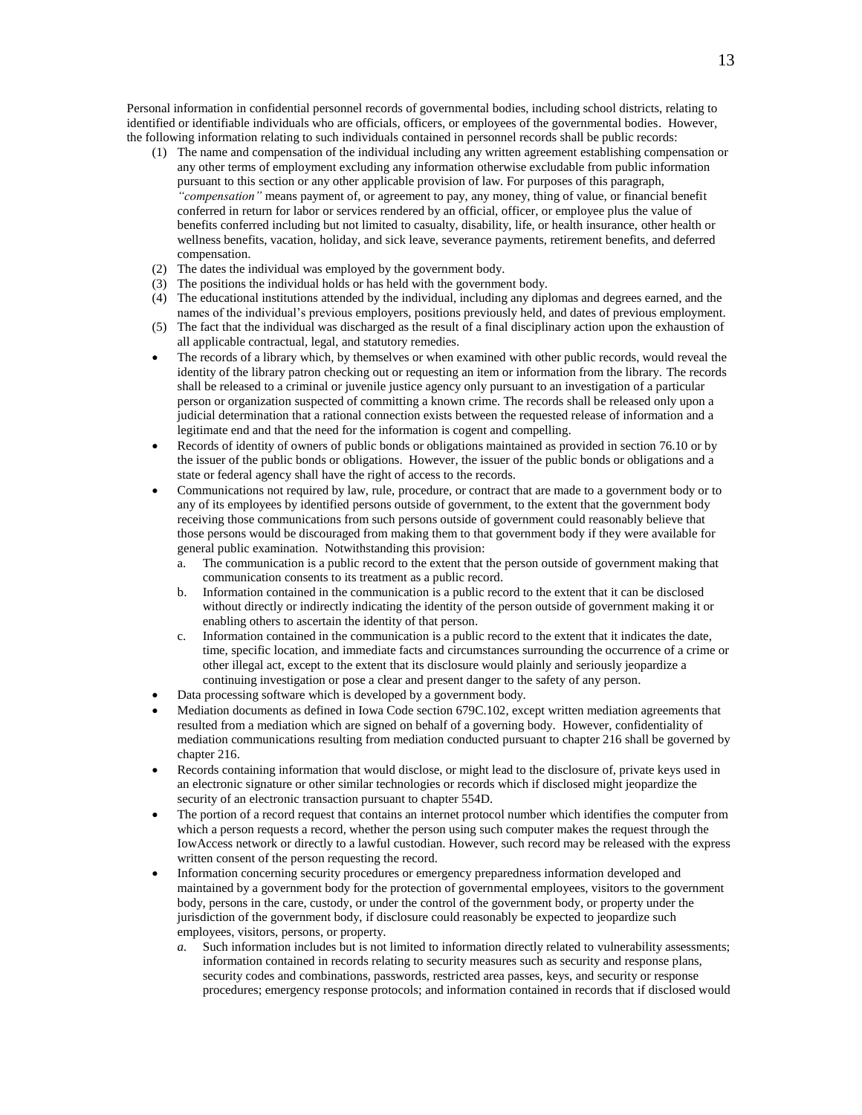Personal information in confidential personnel records of governmental bodies, including school districts, relating to identified or identifiable individuals who are officials, officers, or employees of the governmental bodies. However, the following information relating to such individuals contained in personnel records shall be public records:

- (1) The name and compensation of the individual including any written agreement establishing compensation or any other terms of employment excluding any information otherwise excludable from public information pursuant to this section or any other applicable provision of law. For purposes of this paragraph, *"compensation"* means payment of, or agreement to pay, any money, thing of value, or financial benefit conferred in return for labor or services rendered by an official, officer, or employee plus the value of benefits conferred including but not limited to casualty, disability, life, or health insurance, other health or wellness benefits, vacation, holiday, and sick leave, severance payments, retirement benefits, and deferred compensation.
- (2) The dates the individual was employed by the government body.
- (3) The positions the individual holds or has held with the government body.
- (4) The educational institutions attended by the individual, including any diplomas and degrees earned, and the names of the individual's previous employers, positions previously held, and dates of previous employment.
- (5) The fact that the individual was discharged as the result of a final disciplinary action upon the exhaustion of all applicable contractual, legal, and statutory remedies.
- The records of a library which, by themselves or when examined with other public records, would reveal the identity of the library patron checking out or requesting an item or information from the library. The records shall be released to a criminal or juvenile justice agency only pursuant to an investigation of a particular person or organization suspected of committing a known crime. The records shall be released only upon a judicial determination that a rational connection exists between the requested release of information and a legitimate end and that the need for the information is cogent and compelling.
- Records of identity of owners of public bonds or obligations maintained as provided in section 76.10 or by the issuer of the public bonds or obligations. However, the issuer of the public bonds or obligations and a state or federal agency shall have the right of access to the records.
- Communications not required by law, rule, procedure, or contract that are made to a government body or to any of its employees by identified persons outside of government, to the extent that the government body receiving those communications from such persons outside of government could reasonably believe that those persons would be discouraged from making them to that government body if they were available for general public examination. Notwithstanding this provision:
	- a. The communication is a public record to the extent that the person outside of government making that communication consents to its treatment as a public record.
	- b. Information contained in the communication is a public record to the extent that it can be disclosed without directly or indirectly indicating the identity of the person outside of government making it or enabling others to ascertain the identity of that person.
	- c. Information contained in the communication is a public record to the extent that it indicates the date, time, specific location, and immediate facts and circumstances surrounding the occurrence of a crime or other illegal act, except to the extent that its disclosure would plainly and seriously jeopardize a continuing investigation or pose a clear and present danger to the safety of any person.
- Data processing software which is developed by a government body.
- Mediation documents as defined in Iowa Code section 679C.102, except written mediation agreements that resulted from a mediation which are signed on behalf of a governing body. However, confidentiality of mediation communications resulting from mediation conducted pursuant to chapter 216 shall be governed by chapter 216.
- Records containing information that would disclose, or might lead to the disclosure of, private keys used in an electronic signature or other similar technologies or records which if disclosed might jeopardize the security of an electronic transaction pursuant to chapter 554D.
- The portion of a record request that contains an internet protocol number which identifies the computer from which a person requests a record, whether the person using such computer makes the request through the IowAccess network or directly to a lawful custodian. However, such record may be released with the express written consent of the person requesting the record.
- Information concerning security procedures or emergency preparedness information developed and maintained by a government body for the protection of governmental employees, visitors to the government body, persons in the care, custody, or under the control of the government body, or property under the jurisdiction of the government body, if disclosure could reasonably be expected to jeopardize such employees, visitors, persons, or property.
	- *a.* Such information includes but is not limited to information directly related to vulnerability assessments; information contained in records relating to security measures such as security and response plans, security codes and combinations, passwords, restricted area passes, keys, and security or response procedures; emergency response protocols; and information contained in records that if disclosed would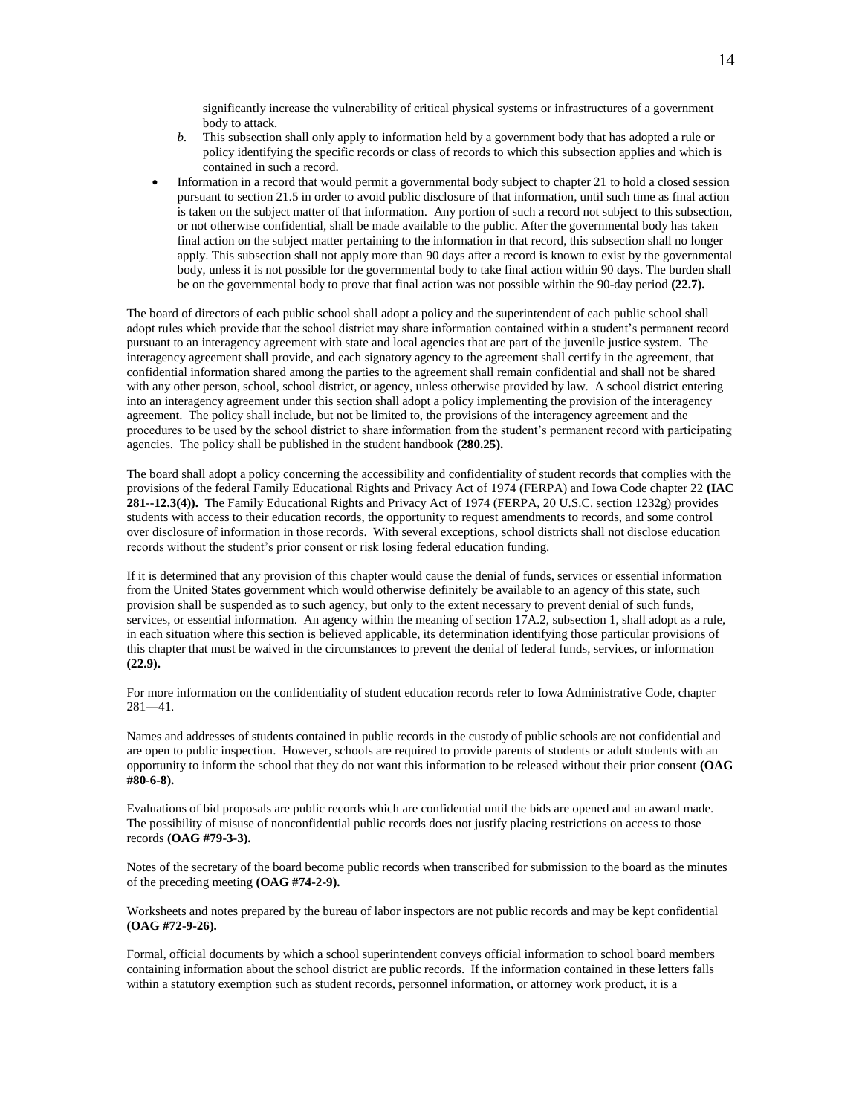significantly increase the vulnerability of critical physical systems or infrastructures of a government body to attack.

- *b.* This subsection shall only apply to information held by a government body that has adopted a rule or policy identifying the specific records or class of records to which this subsection applies and which is contained in such a record.
- Information in a record that would permit a governmental body subject to chapter 21 to hold a closed session pursuant to section 21.5 in order to avoid public disclosure of that information, until such time as final action is taken on the subject matter of that information. Any portion of such a record not subject to this subsection, or not otherwise confidential, shall be made available to the public. After the governmental body has taken final action on the subject matter pertaining to the information in that record, this subsection shall no longer apply. This subsection shall not apply more than 90 days after a record is known to exist by the governmental body, unless it is not possible for the governmental body to take final action within 90 days. The burden shall be on the governmental body to prove that final action was not possible within the 90-day period **(22.7).**

The board of directors of each public school shall adopt a policy and the superintendent of each public school shall adopt rules which provide that the school district may share information contained within a student's permanent record pursuant to an interagency agreement with state and local agencies that are part of the juvenile justice system. The interagency agreement shall provide, and each signatory agency to the agreement shall certify in the agreement, that confidential information shared among the parties to the agreement shall remain confidential and shall not be shared with any other person, school, school district, or agency, unless otherwise provided by law. A school district entering into an interagency agreement under this section shall adopt a policy implementing the provision of the interagency agreement. The policy shall include, but not be limited to, the provisions of the interagency agreement and the procedures to be used by the school district to share information from the student's permanent record with participating agencies. The policy shall be published in the student handbook **(280.25).**

The board shall adopt a policy concerning the accessibility and confidentiality of student records that complies with the provisions of the federal Family Educational Rights and Privacy Act of 1974 (FERPA) and Iowa Code chapter 22 **(IAC 281--12.3(4)).** The Family Educational Rights and Privacy Act of 1974 (FERPA, 20 U.S.C. section 1232g) provides students with access to their education records, the opportunity to request amendments to records, and some control over disclosure of information in those records. With several exceptions, school districts shall not disclose education records without the student's prior consent or risk losing federal education funding.

If it is determined that any provision of this chapter would cause the denial of funds, services or essential information from the United States government which would otherwise definitely be available to an agency of this state, such provision shall be suspended as to such agency, but only to the extent necessary to prevent denial of such funds, services, or essential information. An agency within the meaning of section 17A.2, subsection 1, shall adopt as a rule, in each situation where this section is believed applicable, its determination identifying those particular provisions of this chapter that must be waived in the circumstances to prevent the denial of federal funds, services, or information **(22.9).**

For more information on the confidentiality of student education records refer to Iowa Administrative Code, chapter 281—41.

Names and addresses of students contained in public records in the custody of public schools are not confidential and are open to public inspection. However, schools are required to provide parents of students or adult students with an opportunity to inform the school that they do not want this information to be released without their prior consent **(OAG #80-6-8).**

Evaluations of bid proposals are public records which are confidential until the bids are opened and an award made. The possibility of misuse of nonconfidential public records does not justify placing restrictions on access to those records **(OAG #79-3-3).**

Notes of the secretary of the board become public records when transcribed for submission to the board as the minutes of the preceding meeting **(OAG #74-2-9).**

Worksheets and notes prepared by the bureau of labor inspectors are not public records and may be kept confidential **(OAG #72-9-26).**

Formal, official documents by which a school superintendent conveys official information to school board members containing information about the school district are public records. If the information contained in these letters falls within a statutory exemption such as student records, personnel information, or attorney work product, it is a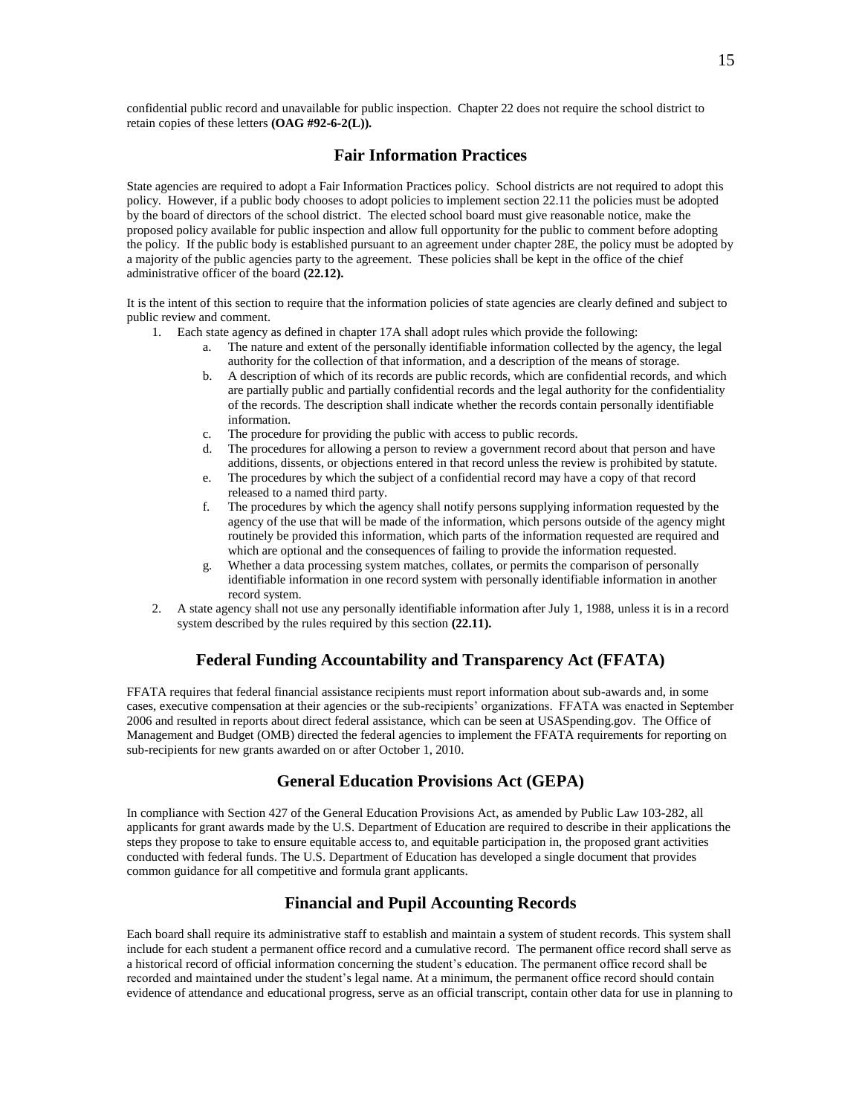confidential public record and unavailable for public inspection. Chapter 22 does not require the school district to retain copies of these letters **(OAG #92-6-2(L)).**

# **Fair Information Practices**

State agencies are required to adopt a Fair Information Practices policy. School districts are not required to adopt this policy. However, if a public body chooses to adopt policies to implement section 22.11 the policies must be adopted by the board of directors of the school district. The elected school board must give reasonable notice, make the proposed policy available for public inspection and allow full opportunity for the public to comment before adopting the policy. If the public body is established pursuant to an agreement under chapter 28E, the policy must be adopted by a majority of the public agencies party to the agreement. These policies shall be kept in the office of the chief administrative officer of the board **(22.12).**

It is the intent of this section to require that the information policies of state agencies are clearly defined and subject to public review and comment.

- 1. Each state agency as defined in chapter 17A shall adopt rules which provide the following:
	- a. The nature and extent of the personally identifiable information collected by the agency, the legal authority for the collection of that information, and a description of the means of storage.
	- b. A description of which of its records are public records, which are confidential records, and which are partially public and partially confidential records and the legal authority for the confidentiality of the records. The description shall indicate whether the records contain personally identifiable information.
	- c. The procedure for providing the public with access to public records.
	- d. The procedures for allowing a person to review a government record about that person and have additions, dissents, or objections entered in that record unless the review is prohibited by statute.
	- e. The procedures by which the subject of a confidential record may have a copy of that record released to a named third party.
	- f. The procedures by which the agency shall notify persons supplying information requested by the agency of the use that will be made of the information, which persons outside of the agency might routinely be provided this information, which parts of the information requested are required and which are optional and the consequences of failing to provide the information requested.
	- g. Whether a data processing system matches, collates, or permits the comparison of personally identifiable information in one record system with personally identifiable information in another record system.
- 2. A state agency shall not use any personally identifiable information after July 1, 1988, unless it is in a record system described by the rules required by this section **(22.11).**

# **Federal Funding Accountability and Transparency Act (FFATA)**

FFATA requires that federal financial assistance recipients must report information about sub-awards and, in some cases, executive compensation at their agencies or the sub-recipients' organizations. FFATA was enacted in September 2006 and resulted in reports about direct federal assistance, which can be seen at USASpending.gov. The Office of Management and Budget (OMB) directed the federal agencies to implement the FFATA requirements for reporting on sub-recipients for new grants awarded on or after October 1, 2010.

# **General Education Provisions Act (GEPA)**

In compliance with Section 427 of the General Education Provisions Act, as amended by Public Law 103-282, all applicants for grant awards made by the U.S. Department of Education are required to describe in their applications the steps they propose to take to ensure equitable access to, and equitable participation in, the proposed grant activities conducted with federal funds. The U.S. Department of Education has developed a single document that provides common guidance for all competitive and formula grant applicants.

## **Financial and Pupil Accounting Records**

Each board shall require its administrative staff to establish and maintain a system of student records. This system shall include for each student a permanent office record and a cumulative record. The permanent office record shall serve as a historical record of official information concerning the student's education. The permanent office record shall be recorded and maintained under the student's legal name. At a minimum, the permanent office record should contain evidence of attendance and educational progress, serve as an official transcript, contain other data for use in planning to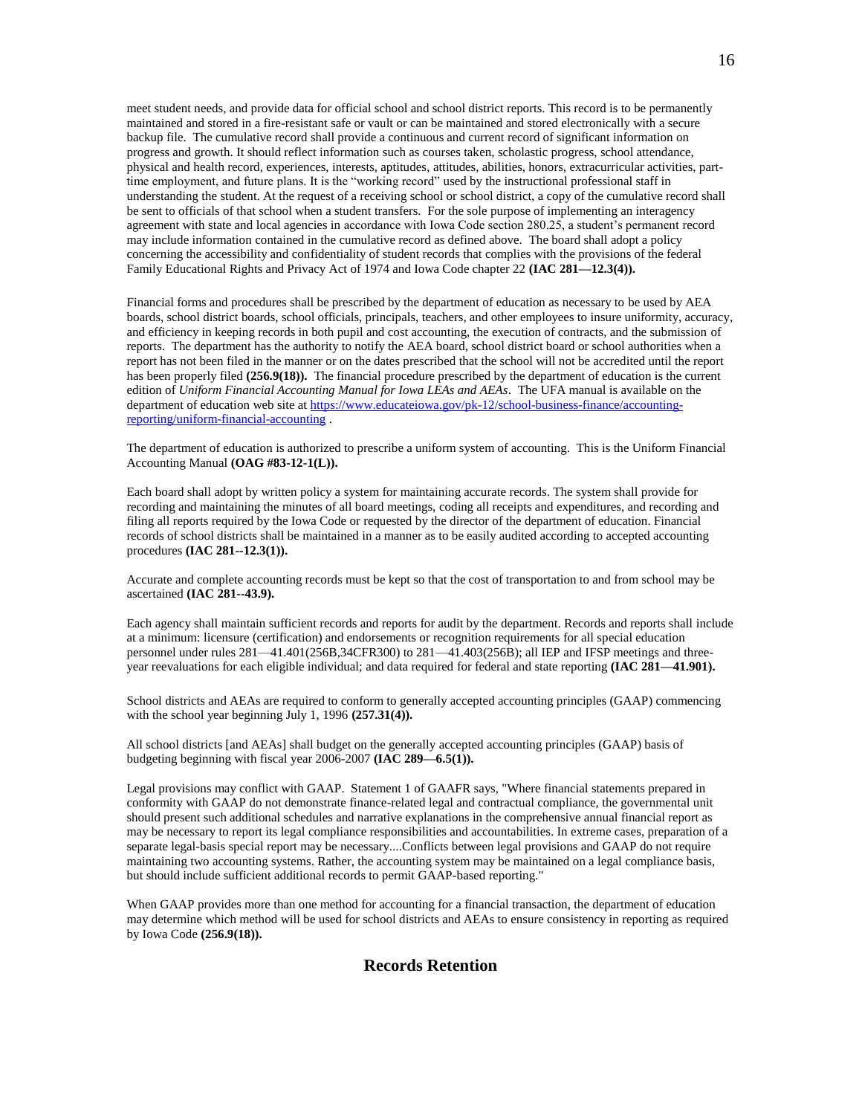meet student needs, and provide data for official school and school district reports. This record is to be permanently maintained and stored in a fire-resistant safe or vault or can be maintained and stored electronically with a secure backup file. The cumulative record shall provide a continuous and current record of significant information on progress and growth. It should reflect information such as courses taken, scholastic progress, school attendance, physical and health record, experiences, interests, aptitudes, attitudes, abilities, honors, extracurricular activities, parttime employment, and future plans. It is the "working record" used by the instructional professional staff in understanding the student. At the request of a receiving school or school district, a copy of the cumulative record shall be sent to officials of that school when a student transfers. For the sole purpose of implementing an interagency agreement with state and local agencies in accordance with Iowa Code section 280.25, a student's permanent record may include information contained in the cumulative record as defined above. The board shall adopt a policy concerning the accessibility and confidentiality of student records that complies with the provisions of the federal Family Educational Rights and Privacy Act of 1974 and Iowa Code chapter 22 **(IAC 281—12.3(4)).**

Financial forms and procedures shall be prescribed by the department of education as necessary to be used by AEA boards, school district boards, school officials, principals, teachers, and other employees to insure uniformity, accuracy, and efficiency in keeping records in both pupil and cost accounting, the execution of contracts, and the submission of reports. The department has the authority to notify the AEA board, school district board or school authorities when a report has not been filed in the manner or on the dates prescribed that the school will not be accredited until the report has been properly filed (256.9(18)). The financial procedure prescribed by the department of education is the current edition of *Uniform Financial Accounting Manual for Iowa LEAs and AEAs*. The UFA manual is available on the department of education web site a[t https://www.educateiowa.gov/pk-12/school-business-finance/accounting](https://www.educateiowa.gov/pk-12/school-business-finance/accounting-reporting/uniform-financial-accounting)[reporting/uniform-financial-accounting](https://www.educateiowa.gov/pk-12/school-business-finance/accounting-reporting/uniform-financial-accounting) .

The department of education is authorized to prescribe a uniform system of accounting. This is the Uniform Financial Accounting Manual **(OAG #83-12-1(L)).**

Each board shall adopt by written policy a system for maintaining accurate records. The system shall provide for recording and maintaining the minutes of all board meetings, coding all receipts and expenditures, and recording and filing all reports required by the Iowa Code or requested by the director of the department of education. Financial records of school districts shall be maintained in a manner as to be easily audited according to accepted accounting procedures **(IAC 281--12.3(1)).**

Accurate and complete accounting records must be kept so that the cost of transportation to and from school may be ascertained **(IAC 281--43.9).**

Each agency shall maintain sufficient records and reports for audit by the department. Records and reports shall include at a minimum: licensure (certification) and endorsements or recognition requirements for all special education personnel under rules 281—41.401(256B,34CFR300) to 281—41.403(256B); all IEP and IFSP meetings and threeyear reevaluations for each eligible individual; and data required for federal and state reporting **(IAC 281—41.901).**

School districts and AEAs are required to conform to generally accepted accounting principles (GAAP) commencing with the school year beginning July 1, 1996 **(257.31(4)).**

All school districts [and AEAs] shall budget on the generally accepted accounting principles (GAAP) basis of budgeting beginning with fiscal year 2006-2007 **(IAC 289—6.5(1)).**

Legal provisions may conflict with GAAP. Statement 1 of GAAFR says, "Where financial statements prepared in conformity with GAAP do not demonstrate finance-related legal and contractual compliance, the governmental unit should present such additional schedules and narrative explanations in the comprehensive annual financial report as may be necessary to report its legal compliance responsibilities and accountabilities. In extreme cases, preparation of a separate legal-basis special report may be necessary....Conflicts between legal provisions and GAAP do not require maintaining two accounting systems. Rather, the accounting system may be maintained on a legal compliance basis, but should include sufficient additional records to permit GAAP-based reporting."

When GAAP provides more than one method for accounting for a financial transaction, the department of education may determine which method will be used for school districts and AEAs to ensure consistency in reporting as required by Iowa Code **(256.9(18)).**

## **Records Retention**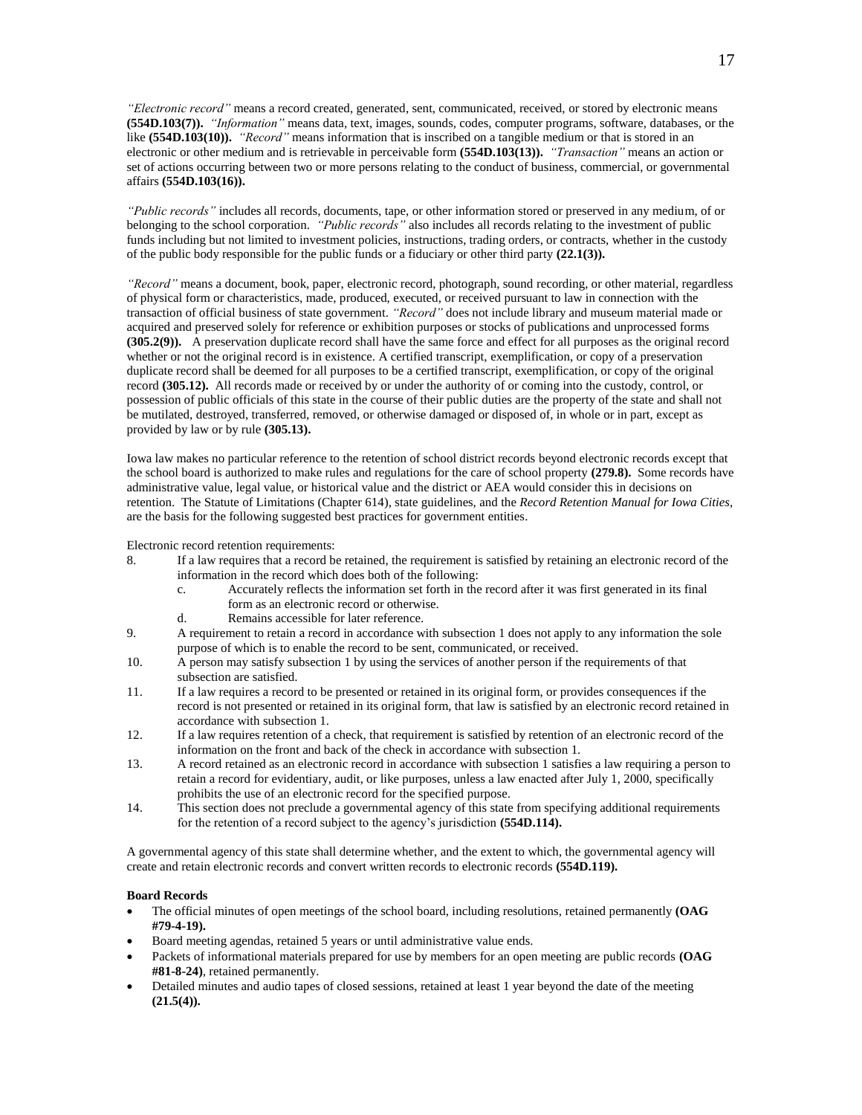*"Electronic record"* means a record created, generated, sent, communicated, received, or stored by electronic means **(554D.103(7)).** *"Information"* means data, text, images, sounds, codes, computer programs, software, databases, or the like **(554D.103(10)).** *"Record"* means information that is inscribed on a tangible medium or that is stored in an electronic or other medium and is retrievable in perceivable form **(554D.103(13)).** *"Transaction"* means an action or set of actions occurring between two or more persons relating to the conduct of business, commercial, or governmental affairs **(554D.103(16)).**

*"Public records"* includes all records, documents, tape, or other information stored or preserved in any medium, of or belonging to the school corporation. *"Public records"* also includes all records relating to the investment of public funds including but not limited to investment policies, instructions, trading orders, or contracts, whether in the custody of the public body responsible for the public funds or a fiduciary or other third party **(22.1(3)).**

*"Record"* means a document, book, paper, electronic record, photograph, sound recording, or other material, regardless of physical form or characteristics, made, produced, executed, or received pursuant to law in connection with the transaction of official business of state government. *"Record"* does not include library and museum material made or acquired and preserved solely for reference or exhibition purposes or stocks of publications and unprocessed forms **(305.2(9)).** A preservation duplicate record shall have the same force and effect for all purposes as the original record whether or not the original record is in existence. A certified transcript, exemplification, or copy of a preservation duplicate record shall be deemed for all purposes to be a certified transcript, exemplification, or copy of the original record **(305.12).** All records made or received by or under the authority of or coming into the custody, control, or possession of public officials of this state in the course of their public duties are the property of the state and shall not be mutilated, destroyed, transferred, removed, or otherwise damaged or disposed of, in whole or in part, except as provided by law or by rule **(305.13).**

Iowa law makes no particular reference to the retention of school district records beyond electronic records except that the school board is authorized to make rules and regulations for the care of school property **(279.8).** Some records have administrative value, legal value, or historical value and the district or AEA would consider this in decisions on retention. The Statute of Limitations (Chapter 614), state guidelines, and the *Record Retention Manual for Iowa Cities*, are the basis for the following suggested best practices for government entities.

Electronic record retention requirements:

- 8. If a law requires that a record be retained, the requirement is satisfied by retaining an electronic record of the information in the record which does both of the following:
	- c. Accurately reflects the information set forth in the record after it was first generated in its final form as an electronic record or otherwise.
	- d. Remains accessible for later reference.
- 9. A requirement to retain a record in accordance with subsection 1 does not apply to any information the sole purpose of which is to enable the record to be sent, communicated, or received.
- 10. A person may satisfy subsection 1 by using the services of another person if the requirements of that subsection are satisfied.
- 11. If a law requires a record to be presented or retained in its original form, or provides consequences if the record is not presented or retained in its original form, that law is satisfied by an electronic record retained in accordance with subsection 1.
- 12. If a law requires retention of a check, that requirement is satisfied by retention of an electronic record of the information on the front and back of the check in accordance with subsection 1.
- 13. A record retained as an electronic record in accordance with subsection 1 satisfies a law requiring a person to retain a record for evidentiary, audit, or like purposes, unless a law enacted after July 1, 2000, specifically prohibits the use of an electronic record for the specified purpose.
- 14. This section does not preclude a governmental agency of this state from specifying additional requirements for the retention of a record subject to the agency's jurisdiction **(554D.114).**

A governmental agency of this state shall determine whether, and the extent to which, the governmental agency will create and retain electronic records and convert written records to electronic records **(554D.119).**

## **Board Records**

- The official minutes of open meetings of the school board, including resolutions, retained permanently **(OAG #79-4-19).**
- Board meeting agendas, retained 5 years or until administrative value ends.
- Packets of informational materials prepared for use by members for an open meeting are public records **(OAG #81-8-24)**, retained permanently.
- Detailed minutes and audio tapes of closed sessions, retained at least 1 year beyond the date of the meeting **(21.5(4)).**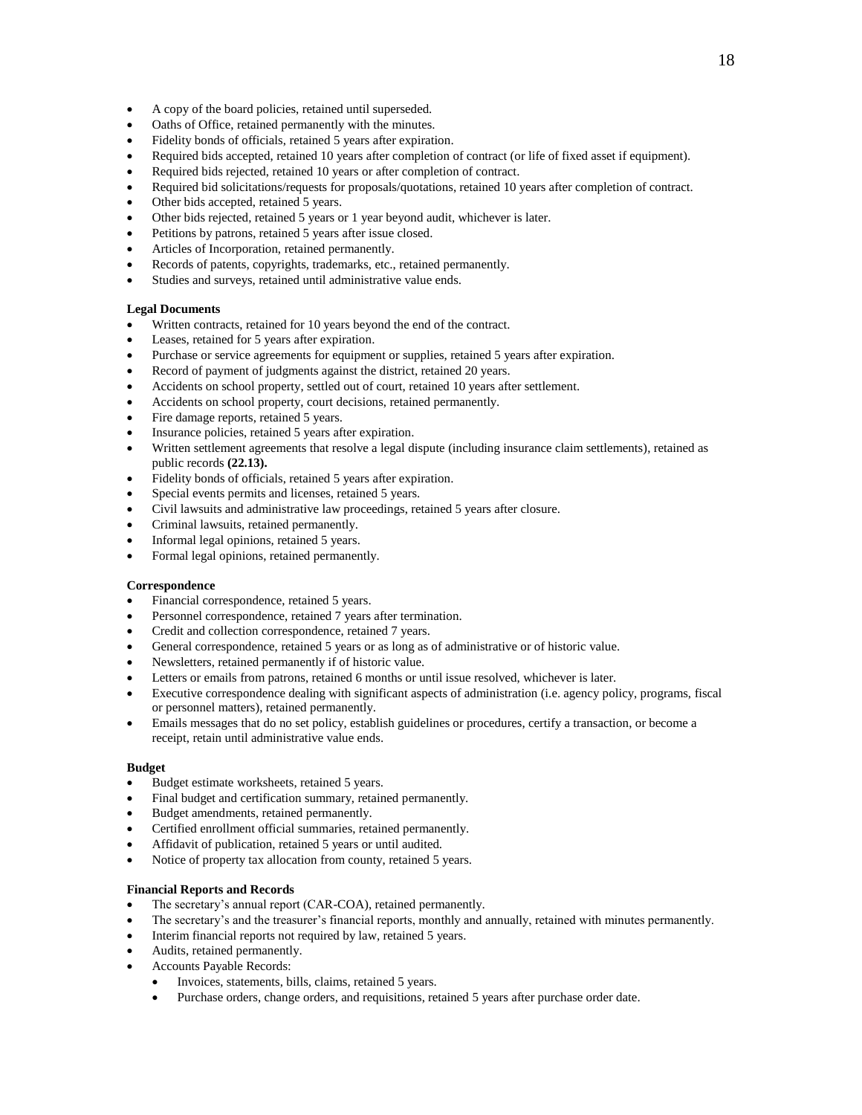- A copy of the board policies, retained until superseded.
- Oaths of Office, retained permanently with the minutes.
- Fidelity bonds of officials, retained 5 years after expiration.
- Required bids accepted, retained 10 years after completion of contract (or life of fixed asset if equipment).
- Required bids rejected, retained 10 years or after completion of contract.
- Required bid solicitations/requests for proposals/quotations, retained 10 years after completion of contract.
- Other bids accepted, retained 5 years.
- Other bids rejected, retained 5 years or 1 year beyond audit, whichever is later.
- Petitions by patrons, retained 5 years after issue closed.
- Articles of Incorporation, retained permanently.
- Records of patents, copyrights, trademarks, etc., retained permanently.
- Studies and surveys, retained until administrative value ends.

## **Legal Documents**

- Written contracts, retained for 10 years beyond the end of the contract.
- Leases, retained for 5 years after expiration.
- Purchase or service agreements for equipment or supplies, retained 5 years after expiration.
- Record of payment of judgments against the district, retained 20 years.
- Accidents on school property, settled out of court, retained 10 years after settlement.
- Accidents on school property, court decisions, retained permanently.
- Fire damage reports, retained 5 years.
- Insurance policies, retained 5 years after expiration.
- Written settlement agreements that resolve a legal dispute (including insurance claim settlements), retained as public records **(22.13).**
- Fidelity bonds of officials, retained 5 years after expiration.
- Special events permits and licenses, retained 5 years.
- Civil lawsuits and administrative law proceedings, retained 5 years after closure.
- Criminal lawsuits, retained permanently.
- Informal legal opinions, retained 5 years.
- Formal legal opinions, retained permanently.

#### **Correspondence**

- Financial correspondence, retained 5 years.
- Personnel correspondence, retained 7 years after termination.
- Credit and collection correspondence, retained 7 years.
- General correspondence, retained 5 years or as long as of administrative or of historic value.
- Newsletters, retained permanently if of historic value.
- Letters or emails from patrons, retained 6 months or until issue resolved, whichever is later.
- Executive correspondence dealing with significant aspects of administration (i.e. agency policy, programs, fiscal or personnel matters), retained permanently.
- Emails messages that do no set policy, establish guidelines or procedures, certify a transaction, or become a receipt, retain until administrative value ends.

#### **Budget**

- Budget estimate worksheets, retained 5 years.
- Final budget and certification summary, retained permanently.
- Budget amendments, retained permanently.
- Certified enrollment official summaries, retained permanently.
- Affidavit of publication, retained 5 years or until audited.
- Notice of property tax allocation from county, retained 5 years.

### **Financial Reports and Records**

- The secretary's annual report (CAR-COA), retained permanently.
- The secretary's and the treasurer's financial reports, monthly and annually, retained with minutes permanently.
- Interim financial reports not required by law, retained 5 years.
- Audits, retained permanently.
- Accounts Payable Records:
	- Invoices, statements, bills, claims, retained 5 years.
	- Purchase orders, change orders, and requisitions, retained 5 years after purchase order date.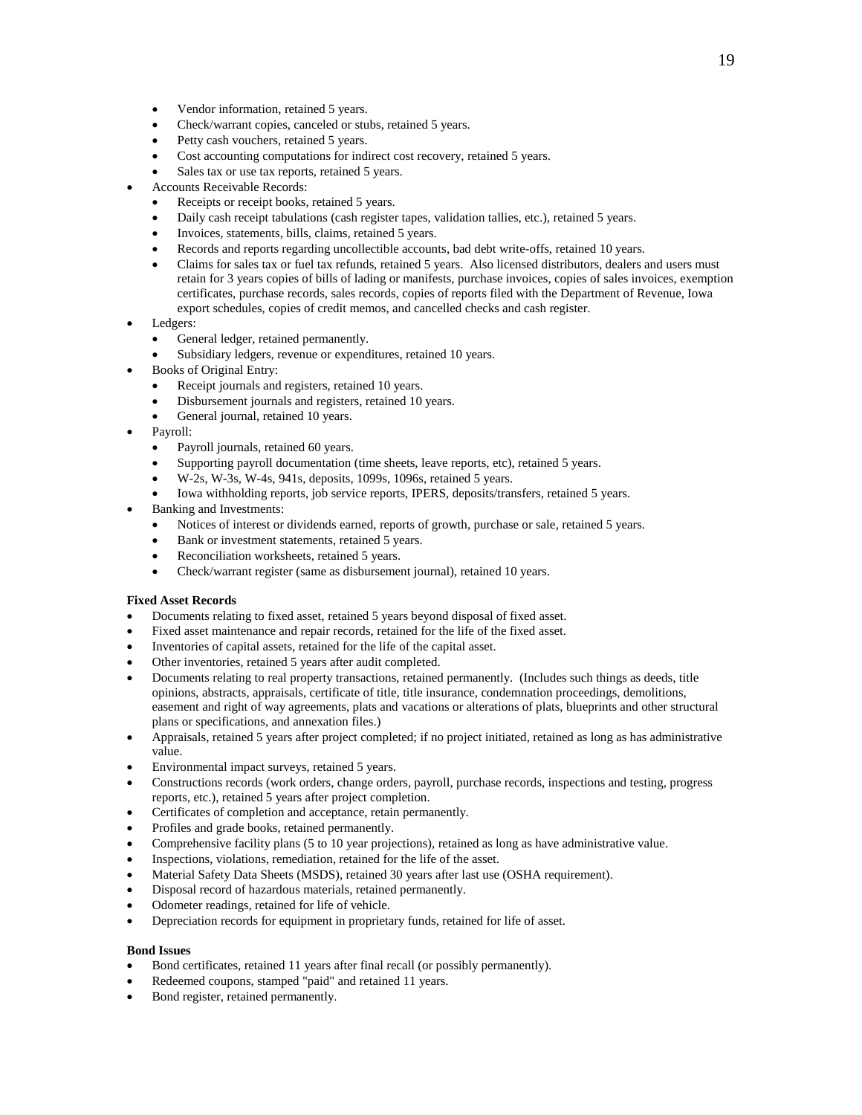- Vendor information, retained 5 years.
- Check/warrant copies, canceled or stubs, retained 5 years.
- Petty cash vouchers, retained 5 years.
- Cost accounting computations for indirect cost recovery, retained 5 years.
- Sales tax or use tax reports, retained 5 years.
- Accounts Receivable Records:
	- Receipts or receipt books, retained 5 years.
	- Daily cash receipt tabulations (cash register tapes, validation tallies, etc.), retained 5 years.
	- Invoices, statements, bills, claims, retained 5 years.
	- Records and reports regarding uncollectible accounts, bad debt write-offs, retained 10 years.
	- Claims for sales tax or fuel tax refunds, retained 5 years. Also licensed distributors, dealers and users must retain for 3 years copies of bills of lading or manifests, purchase invoices, copies of sales invoices, exemption certificates, purchase records, sales records, copies of reports filed with the Department of Revenue, Iowa export schedules, copies of credit memos, and cancelled checks and cash register.
- Ledgers:
	- General ledger, retained permanently.
	- Subsidiary ledgers, revenue or expenditures, retained 10 years.
- Books of Original Entry:
	- Receipt journals and registers, retained 10 years.
	- Disbursement journals and registers, retained 10 years.
	- General journal, retained 10 years.
- Payroll:
	- Payroll journals, retained 60 years.
	- Supporting payroll documentation (time sheets, leave reports, etc), retained 5 years.
	- W-2s, W-3s, W-4s, 941s, deposits, 1099s, 1096s, retained 5 years.
	- Iowa withholding reports, job service reports, IPERS, deposits/transfers, retained 5 years.
- Banking and Investments:
	- Notices of interest or dividends earned, reports of growth, purchase or sale, retained 5 years.
	- Bank or investment statements, retained 5 years.
	- Reconciliation worksheets, retained 5 years.
	- Check/warrant register (same as disbursement journal), retained 10 years.

#### **Fixed Asset Records**

- Documents relating to fixed asset, retained 5 years beyond disposal of fixed asset.
- Fixed asset maintenance and repair records, retained for the life of the fixed asset.
- Inventories of capital assets, retained for the life of the capital asset.
- Other inventories, retained 5 years after audit completed.
- Documents relating to real property transactions, retained permanently. (Includes such things as deeds, title opinions, abstracts, appraisals, certificate of title, title insurance, condemnation proceedings, demolitions, easement and right of way agreements, plats and vacations or alterations of plats, blueprints and other structural plans or specifications, and annexation files.)
- Appraisals, retained 5 years after project completed; if no project initiated, retained as long as has administrative value.
- Environmental impact surveys, retained 5 years.
- Constructions records (work orders, change orders, payroll, purchase records, inspections and testing, progress reports, etc.), retained 5 years after project completion.
- Certificates of completion and acceptance, retain permanently.
- Profiles and grade books, retained permanently.
- Comprehensive facility plans (5 to 10 year projections), retained as long as have administrative value.
- Inspections, violations, remediation, retained for the life of the asset.
- Material Safety Data Sheets (MSDS), retained 30 years after last use (OSHA requirement).
- Disposal record of hazardous materials, retained permanently.
- Odometer readings, retained for life of vehicle.
- Depreciation records for equipment in proprietary funds, retained for life of asset.

### **Bond Issues**

- Bond certificates, retained 11 years after final recall (or possibly permanently).
- Redeemed coupons, stamped "paid" and retained 11 years.
- Bond register, retained permanently.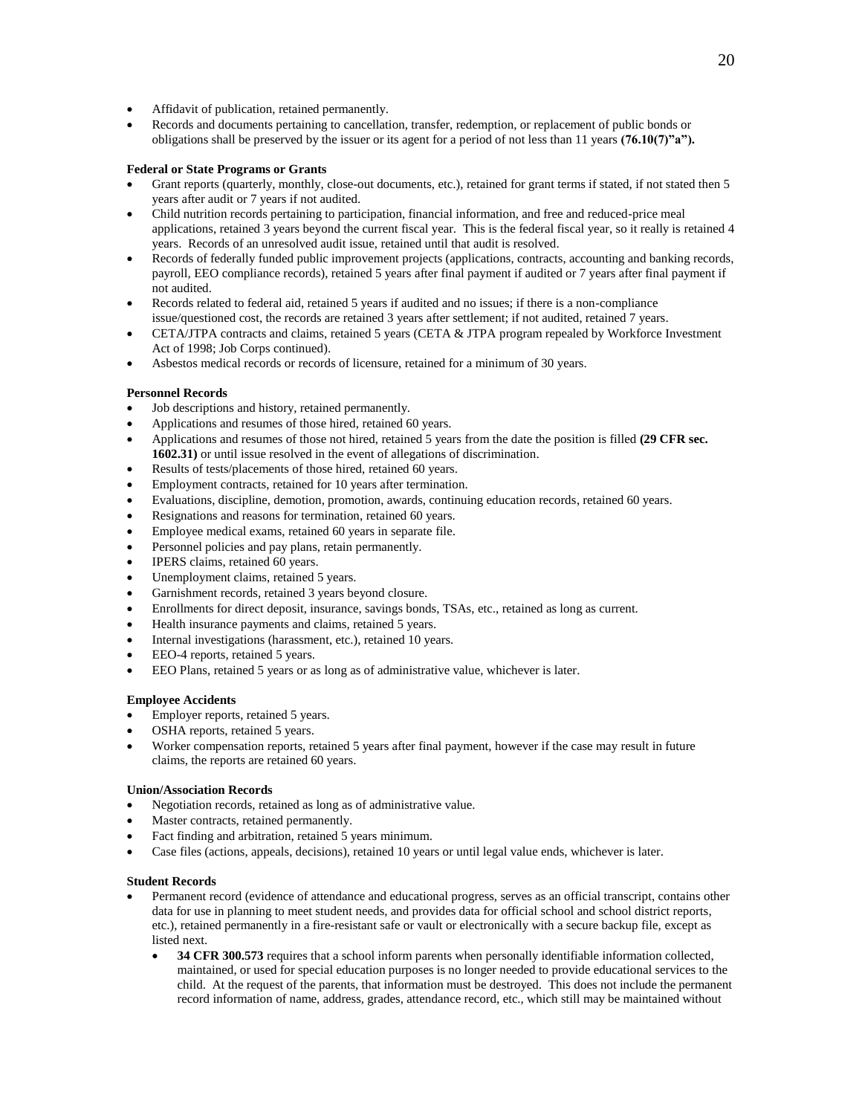- Affidavit of publication, retained permanently.
- Records and documents pertaining to cancellation, transfer, redemption, or replacement of public bonds or obligations shall be preserved by the issuer or its agent for a period of not less than 11 years **(76.10(7)"a").**

## **Federal or State Programs or Grants**

- Grant reports (quarterly, monthly, close-out documents, etc.), retained for grant terms if stated, if not stated then 5 years after audit or 7 years if not audited.
- Child nutrition records pertaining to participation, financial information, and free and reduced-price meal applications, retained 3 years beyond the current fiscal year. This is the federal fiscal year, so it really is retained 4 years. Records of an unresolved audit issue, retained until that audit is resolved.
- Records of federally funded public improvement projects (applications, contracts, accounting and banking records, payroll, EEO compliance records), retained 5 years after final payment if audited or 7 years after final payment if not audited.
- Records related to federal aid, retained 5 years if audited and no issues; if there is a non-compliance issue/questioned cost, the records are retained 3 years after settlement; if not audited, retained 7 years.
- CETA/JTPA contracts and claims, retained 5 years (CETA & JTPA program repealed by Workforce Investment Act of 1998; Job Corps continued).
- Asbestos medical records or records of licensure, retained for a minimum of 30 years.

## **Personnel Records**

- Job descriptions and history, retained permanently.
- Applications and resumes of those hired, retained 60 years.
- Applications and resumes of those not hired, retained 5 years from the date the position is filled **(29 CFR sec. 1602.31)** or until issue resolved in the event of allegations of discrimination.
- Results of tests/placements of those hired, retained 60 years.
- Employment contracts, retained for 10 years after termination.
- Evaluations, discipline, demotion, promotion, awards, continuing education records, retained 60 years.
- Resignations and reasons for termination, retained 60 years.
- Employee medical exams, retained 60 years in separate file.
- Personnel policies and pay plans, retain permanently.
- IPERS claims, retained 60 years.
- Unemployment claims, retained 5 years.
- Garnishment records, retained 3 years beyond closure.
- Enrollments for direct deposit, insurance, savings bonds, TSAs, etc., retained as long as current.
- Health insurance payments and claims, retained 5 years.
- Internal investigations (harassment, etc.), retained 10 years.
- EEO-4 reports, retained 5 years.
- EEO Plans, retained 5 years or as long as of administrative value, whichever is later.

## **Employee Accidents**

- Employer reports, retained 5 years.
- OSHA reports, retained 5 years.
- Worker compensation reports, retained 5 years after final payment, however if the case may result in future claims, the reports are retained 60 years.

## **Union/Association Records**

- Negotiation records, retained as long as of administrative value.
- Master contracts, retained permanently.
- Fact finding and arbitration, retained 5 years minimum.
- Case files (actions, appeals, decisions), retained 10 years or until legal value ends, whichever is later.

## **Student Records**

- Permanent record (evidence of attendance and educational progress, serves as an official transcript, contains other data for use in planning to meet student needs, and provides data for official school and school district reports, etc.), retained permanently in a fire-resistant safe or vault or electronically with a secure backup file, except as listed next.
	- **34 CFR 300.573** requires that a school inform parents when personally identifiable information collected, maintained, or used for special education purposes is no longer needed to provide educational services to the child. At the request of the parents, that information must be destroyed. This does not include the permanent record information of name, address, grades, attendance record, etc., which still may be maintained without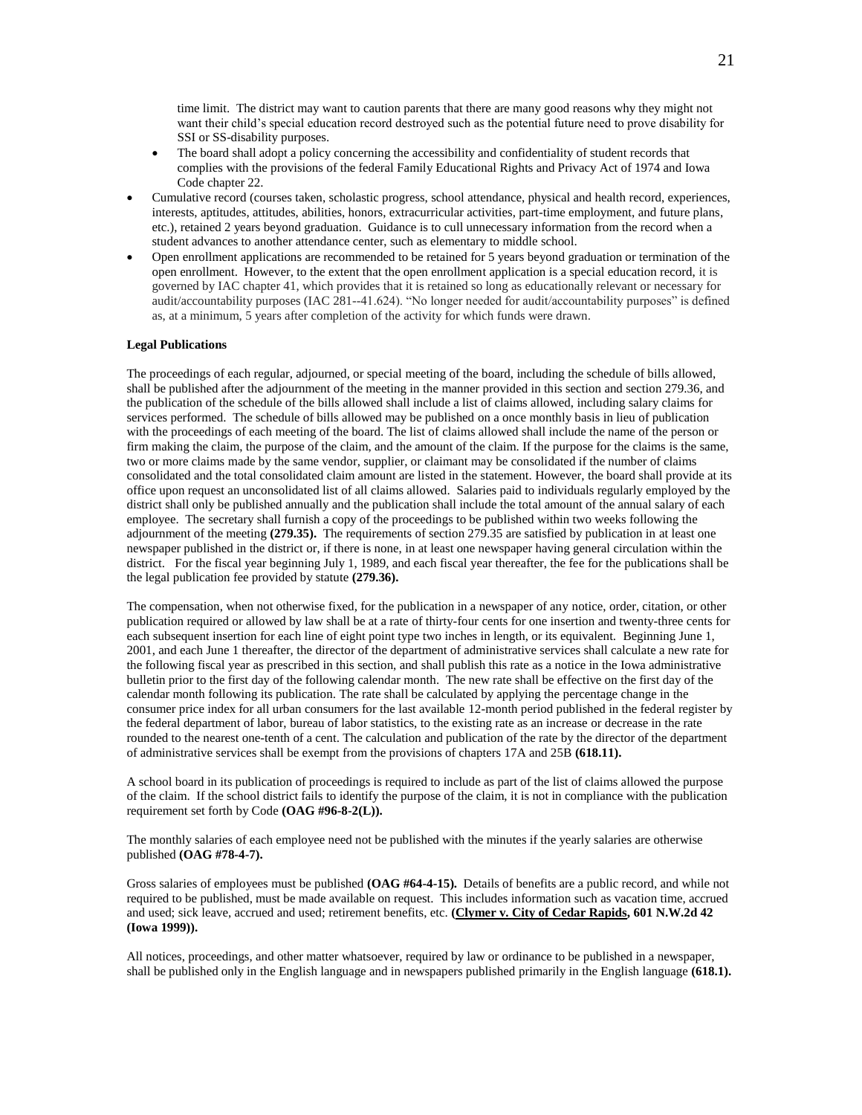time limit. The district may want to caution parents that there are many good reasons why they might not want their child's special education record destroyed such as the potential future need to prove disability for SSI or SS-disability purposes.

- The board shall adopt a policy concerning the accessibility and confidentiality of student records that complies with the provisions of the federal Family Educational Rights and Privacy Act of 1974 and Iowa Code chapter 22.
- Cumulative record (courses taken, scholastic progress, school attendance, physical and health record, experiences, interests, aptitudes, attitudes, abilities, honors, extracurricular activities, part-time employment, and future plans, etc.), retained 2 years beyond graduation. Guidance is to cull unnecessary information from the record when a student advances to another attendance center, such as elementary to middle school.
- Open enrollment applications are recommended to be retained for 5 years beyond graduation or termination of the open enrollment. However, to the extent that the open enrollment application is a special education record, it is governed by IAC chapter 41, which provides that it is retained so long as educationally relevant or necessary for audit/accountability purposes (IAC 281--41.624). "No longer needed for audit/accountability purposes" is defined as, at a minimum, 5 years after completion of the activity for which funds were drawn.

## **Legal Publications**

The proceedings of each regular, adjourned, or special meeting of the board, including the schedule of bills allowed, shall be published after the adjournment of the meeting in the manner provided in this section and section 279.36, and the publication of the schedule of the bills allowed shall include a list of claims allowed, including salary claims for services performed. The schedule of bills allowed may be published on a once monthly basis in lieu of publication with the proceedings of each meeting of the board. The list of claims allowed shall include the name of the person or firm making the claim, the purpose of the claim, and the amount of the claim. If the purpose for the claims is the same, two or more claims made by the same vendor, supplier, or claimant may be consolidated if the number of claims consolidated and the total consolidated claim amount are listed in the statement. However, the board shall provide at its office upon request an unconsolidated list of all claims allowed. Salaries paid to individuals regularly employed by the district shall only be published annually and the publication shall include the total amount of the annual salary of each employee. The secretary shall furnish a copy of the proceedings to be published within two weeks following the adjournment of the meeting **(279.35).** The requirements of section 279.35 are satisfied by publication in at least one newspaper published in the district or, if there is none, in at least one newspaper having general circulation within the district. For the fiscal year beginning July 1, 1989, and each fiscal year thereafter, the fee for the publications shall be the legal publication fee provided by statute **(279.36).**

The compensation, when not otherwise fixed, for the publication in a newspaper of any notice, order, citation, or other publication required or allowed by law shall be at a rate of thirty-four cents for one insertion and twenty-three cents for each subsequent insertion for each line of eight point type two inches in length, or its equivalent. Beginning June 1, 2001, and each June 1 thereafter, the director of the department of administrative services shall calculate a new rate for the following fiscal year as prescribed in this section, and shall publish this rate as a notice in the Iowa administrative bulletin prior to the first day of the following calendar month. The new rate shall be effective on the first day of the calendar month following its publication. The rate shall be calculated by applying the percentage change in the consumer price index for all urban consumers for the last available 12-month period published in the federal register by the federal department of labor, bureau of labor statistics, to the existing rate as an increase or decrease in the rate rounded to the nearest one-tenth of a cent. The calculation and publication of the rate by the director of the department of administrative services shall be exempt from the provisions of chapters 17A and 25B **(618.11).**

A school board in its publication of proceedings is required to include as part of the list of claims allowed the purpose of the claim. If the school district fails to identify the purpose of the claim, it is not in compliance with the publication requirement set forth by Code **(OAG #96-8-2(L)).**

The monthly salaries of each employee need not be published with the minutes if the yearly salaries are otherwise published **(OAG #78-4-7).**

Gross salaries of employees must be published **(OAG #64-4-15).** Details of benefits are a public record, and while not required to be published, must be made available on request. This includes information such as vacation time, accrued and used; sick leave, accrued and used; retirement benefits, etc. **(Clymer v. City of Cedar Rapids, 601 N.W.2d 42 (Iowa 1999)).**

All notices, proceedings, and other matter whatsoever, required by law or ordinance to be published in a newspaper, shall be published only in the English language and in newspapers published primarily in the English language **(618.1).**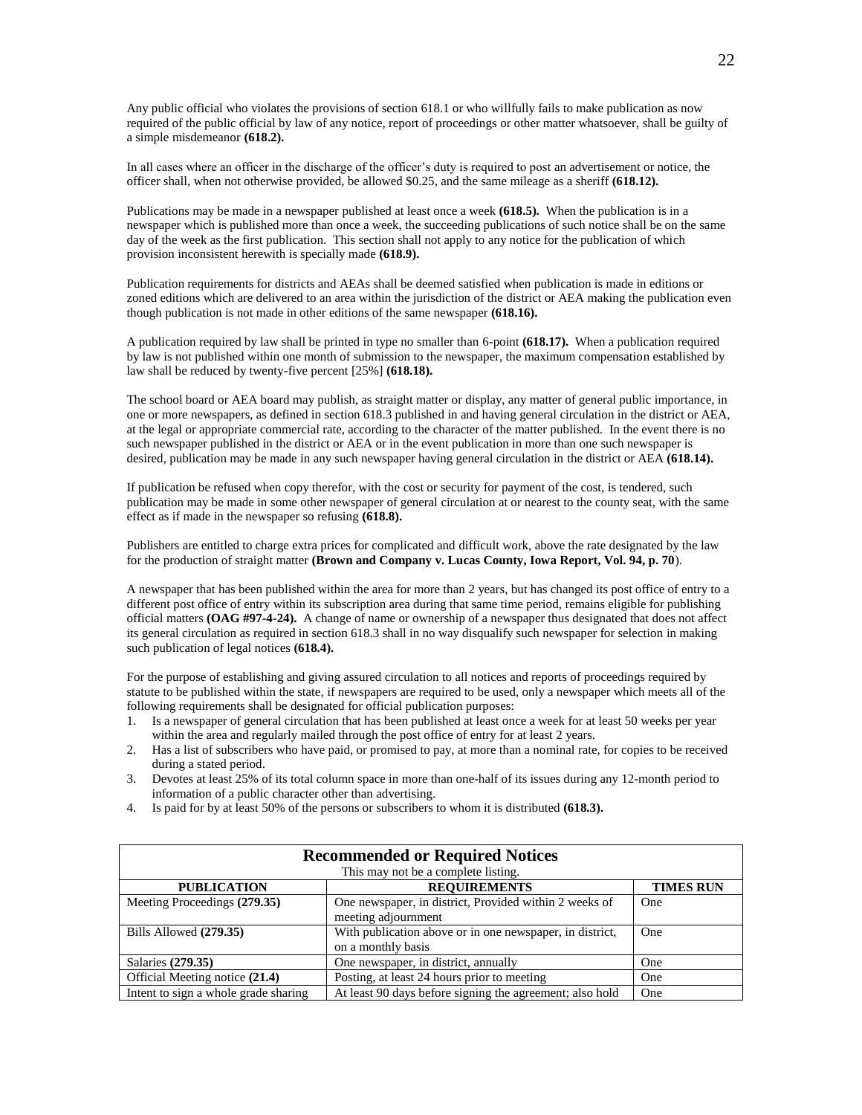Any public official who violates the provisions of section 618.1 or who willfully fails to make publication as now required of the public official by law of any notice, report of proceedings or other matter whatsoever, shall be guilty of a simple misdemeanor **(618.2).**

In all cases where an officer in the discharge of the officer's duty is required to post an advertisement or notice, the officer shall, when not otherwise provided, be allowed \$0.25, and the same mileage as a sheriff **(618.12).**

Publications may be made in a newspaper published at least once a week **(618.5).** When the publication is in a newspaper which is published more than once a week, the succeeding publications of such notice shall be on the same day of the week as the first publication. This section shall not apply to any notice for the publication of which provision inconsistent herewith is specially made **(618.9).**

Publication requirements for districts and AEAs shall be deemed satisfied when publication is made in editions or zoned editions which are delivered to an area within the jurisdiction of the district or AEA making the publication even though publication is not made in other editions of the same newspaper **(618.16).**

A publication required by law shall be printed in type no smaller than 6-point **(618.17).** When a publication required by law is not published within one month of submission to the newspaper, the maximum compensation established by law shall be reduced by twenty-five percent [25%] **(618.18).**

The school board or AEA board may publish, as straight matter or display, any matter of general public importance, in one or more newspapers, as defined in section 618.3 published in and having general circulation in the district or AEA, at the legal or appropriate commercial rate, according to the character of the matter published. In the event there is no such newspaper published in the district or AEA or in the event publication in more than one such newspaper is desired, publication may be made in any such newspaper having general circulation in the district or AEA **(618.14).**

If publication be refused when copy therefor, with the cost or security for payment of the cost, is tendered, such publication may be made in some other newspaper of general circulation at or nearest to the county seat, with the same effect as if made in the newspaper so refusing **(618.8).**

Publishers are entitled to charge extra prices for complicated and difficult work, above the rate designated by the law for the production of straight matter **(Brown and Company v. Lucas County, Iowa Report, Vol. 94, p. 70**).

A newspaper that has been published within the area for more than 2 years, but has changed its post office of entry to a different post office of entry within its subscription area during that same time period, remains eligible for publishing official matters **(OAG #97-4-24).** A change of name or ownership of a newspaper thus designated that does not affect its general circulation as required in section 618.3 shall in no way disqualify such newspaper for selection in making such publication of legal notices **(618.4).**

For the purpose of establishing and giving assured circulation to all notices and reports of proceedings required by statute to be published within the state, if newspapers are required to be used, only a newspaper which meets all of the following requirements shall be designated for official publication purposes:

- 1. Is a newspaper of general circulation that has been published at least once a week for at least 50 weeks per year within the area and regularly mailed through the post office of entry for at least 2 years.
- 2. Has a list of subscribers who have paid, or promised to pay, at more than a nominal rate, for copies to be received during a stated period.
- 3. Devotes at least 25% of its total column space in more than one-half of its issues during any 12-month period to information of a public character other than advertising.
- 4. Is paid for by at least 50% of the persons or subscribers to whom it is distributed **(618.3).**

| <b>Recommended or Required Notices</b> |                                                          |                  |  |  |
|----------------------------------------|----------------------------------------------------------|------------------|--|--|
| This may not be a complete listing.    |                                                          |                  |  |  |
| <b>PUBLICATION</b>                     | <b>REQUIREMENTS</b>                                      | <b>TIMES RUN</b> |  |  |
| Meeting Proceedings (279.35)           | One newspaper, in district, Provided within 2 weeks of   | One              |  |  |
|                                        | meeting adjournment                                      |                  |  |  |
| Bills Allowed (279.35)                 | With publication above or in one newspaper, in district, | <b>One</b>       |  |  |
|                                        | on a monthly basis                                       |                  |  |  |
| Salaries (279.35)                      | One newspaper, in district, annually                     | One              |  |  |
| Official Meeting notice (21.4)         | Posting, at least 24 hours prior to meeting              | One              |  |  |
| Intent to sign a whole grade sharing   | At least 90 days before signing the agreement; also hold | One              |  |  |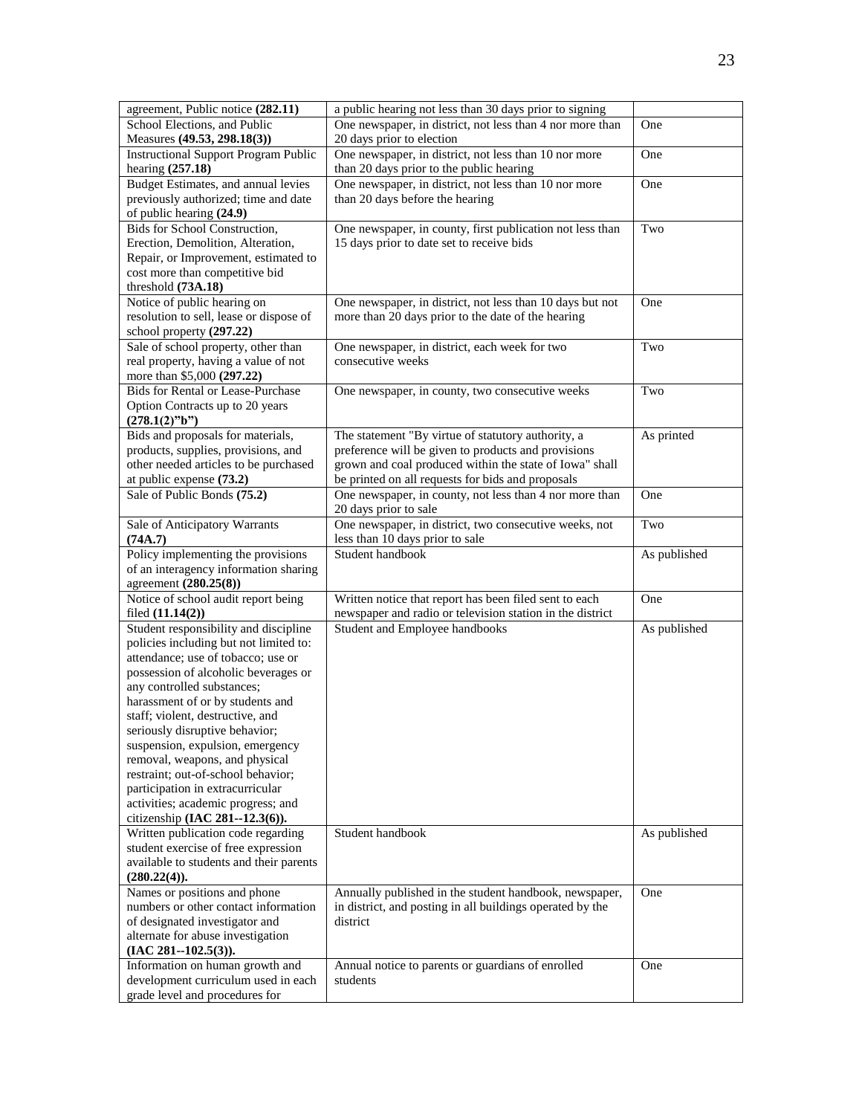| agreement, Public notice (282.11)                                                                                                                                                                                                                                                                                                                                                                                                                                                                                              | a public hearing not less than 30 days prior to signing                                                                                                                                                                   |              |
|--------------------------------------------------------------------------------------------------------------------------------------------------------------------------------------------------------------------------------------------------------------------------------------------------------------------------------------------------------------------------------------------------------------------------------------------------------------------------------------------------------------------------------|---------------------------------------------------------------------------------------------------------------------------------------------------------------------------------------------------------------------------|--------------|
| School Elections, and Public<br>Measures (49.53, 298.18(3))                                                                                                                                                                                                                                                                                                                                                                                                                                                                    | One newspaper, in district, not less than 4 nor more than<br>20 days prior to election                                                                                                                                    | One          |
| <b>Instructional Support Program Public</b><br>hearing $(257.18)$                                                                                                                                                                                                                                                                                                                                                                                                                                                              | One newspaper, in district, not less than 10 nor more<br>than 20 days prior to the public hearing                                                                                                                         | One          |
| Budget Estimates, and annual levies<br>previously authorized; time and date<br>of public hearing (24.9)                                                                                                                                                                                                                                                                                                                                                                                                                        | One newspaper, in district, not less than 10 nor more<br>than 20 days before the hearing                                                                                                                                  | One          |
| Bids for School Construction,<br>Erection, Demolition, Alteration,<br>Repair, or Improvement, estimated to<br>cost more than competitive bid<br>threshold (73A.18)                                                                                                                                                                                                                                                                                                                                                             | One newspaper, in county, first publication not less than<br>15 days prior to date set to receive bids                                                                                                                    | Two          |
| Notice of public hearing on<br>resolution to sell, lease or dispose of<br>school property (297.22)                                                                                                                                                                                                                                                                                                                                                                                                                             | One newspaper, in district, not less than 10 days but not<br>more than 20 days prior to the date of the hearing                                                                                                           | One          |
| Sale of school property, other than<br>real property, having a value of not<br>more than \$5,000 (297.22)                                                                                                                                                                                                                                                                                                                                                                                                                      | One newspaper, in district, each week for two<br>consecutive weeks                                                                                                                                                        | Two          |
| <b>Bids for Rental or Lease-Purchase</b><br>Option Contracts up to 20 years<br>(278.1(2)"b")                                                                                                                                                                                                                                                                                                                                                                                                                                   | One newspaper, in county, two consecutive weeks                                                                                                                                                                           | Two          |
| Bids and proposals for materials,<br>products, supplies, provisions, and<br>other needed articles to be purchased<br>at public expense (73.2)                                                                                                                                                                                                                                                                                                                                                                                  | The statement "By virtue of statutory authority, a<br>preference will be given to products and provisions<br>grown and coal produced within the state of Iowa" shall<br>be printed on all requests for bids and proposals | As printed   |
| Sale of Public Bonds (75.2)                                                                                                                                                                                                                                                                                                                                                                                                                                                                                                    | One newspaper, in county, not less than 4 nor more than<br>20 days prior to sale                                                                                                                                          | One          |
| Sale of Anticipatory Warrants<br>(74A.7)                                                                                                                                                                                                                                                                                                                                                                                                                                                                                       | One newspaper, in district, two consecutive weeks, not<br>less than 10 days prior to sale                                                                                                                                 | Two          |
| Policy implementing the provisions<br>of an interagency information sharing<br>agreement (280.25(8))                                                                                                                                                                                                                                                                                                                                                                                                                           | Student handbook                                                                                                                                                                                                          | As published |
| Notice of school audit report being<br>filed (11.14(2))                                                                                                                                                                                                                                                                                                                                                                                                                                                                        | Written notice that report has been filed sent to each<br>newspaper and radio or television station in the district                                                                                                       | One          |
| Student responsibility and discipline<br>policies including but not limited to:<br>attendance; use of tobacco; use or<br>possession of alcoholic beverages or<br>any controlled substances;<br>harassment of or by students and<br>staff; violent, destructive, and<br>seriously disruptive behavior;<br>suspension, expulsion, emergency<br>removal, weapons, and physical<br>restraint; out-of-school behavior;<br>participation in extracurricular<br>activities; academic progress; and<br>citizenship (IAC 281--12.3(6)). | Student and Employee handbooks                                                                                                                                                                                            | As published |
| Written publication code regarding<br>student exercise of free expression<br>available to students and their parents<br>(280.22(4)).                                                                                                                                                                                                                                                                                                                                                                                           | Student handbook                                                                                                                                                                                                          | As published |
| Names or positions and phone<br>numbers or other contact information<br>of designated investigator and<br>alternate for abuse investigation<br>$(IAC 281 - 102.5(3)).$                                                                                                                                                                                                                                                                                                                                                         | Annually published in the student handbook, newspaper,<br>in district, and posting in all buildings operated by the<br>district                                                                                           | One          |
| Information on human growth and<br>development curriculum used in each<br>grade level and procedures for                                                                                                                                                                                                                                                                                                                                                                                                                       | Annual notice to parents or guardians of enrolled<br>students                                                                                                                                                             | One          |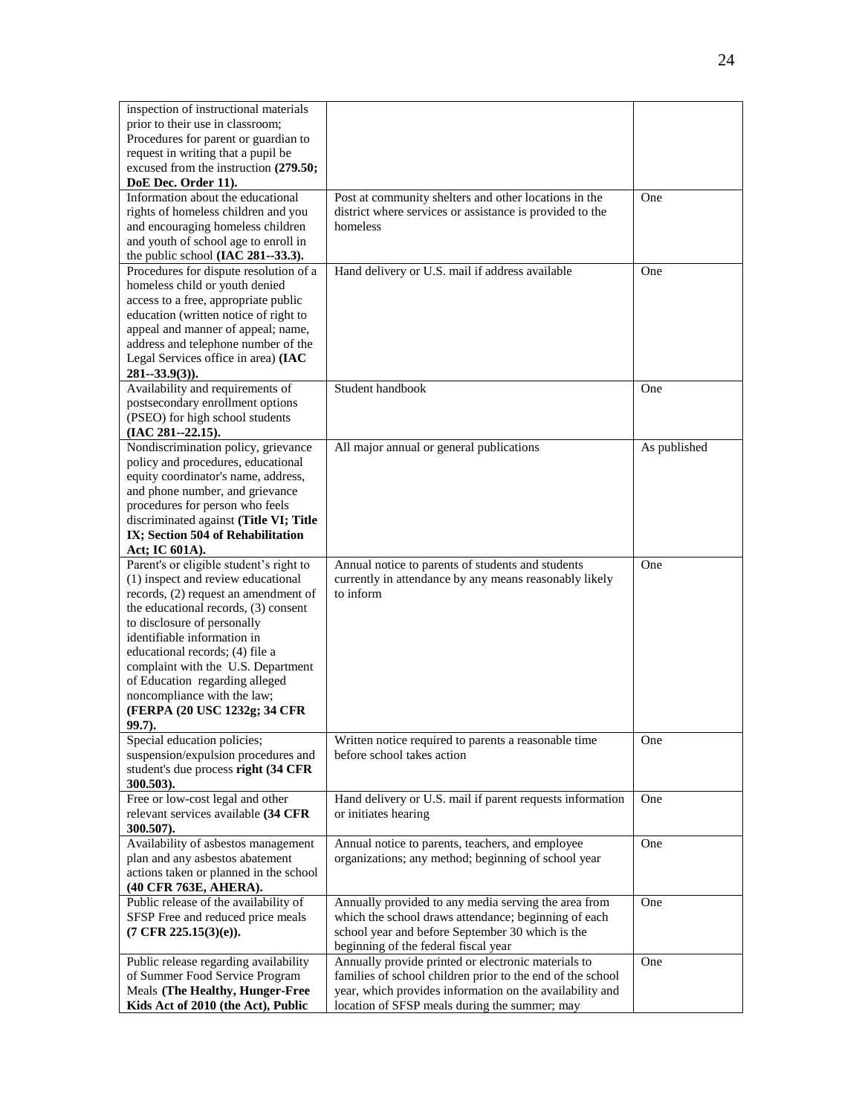| inspection of instructional materials                                 |                                                                                                           |              |
|-----------------------------------------------------------------------|-----------------------------------------------------------------------------------------------------------|--------------|
| prior to their use in classroom;                                      |                                                                                                           |              |
| Procedures for parent or guardian to                                  |                                                                                                           |              |
| request in writing that a pupil be                                    |                                                                                                           |              |
| excused from the instruction (279.50;                                 |                                                                                                           |              |
| DoE Dec. Order 11).                                                   |                                                                                                           |              |
| Information about the educational                                     | Post at community shelters and other locations in the                                                     | One          |
| rights of homeless children and you                                   | district where services or assistance is provided to the                                                  |              |
| and encouraging homeless children                                     | homeless                                                                                                  |              |
| and youth of school age to enroll in                                  |                                                                                                           |              |
| the public school (IAC 281--33.3).                                    |                                                                                                           |              |
| Procedures for dispute resolution of a                                | Hand delivery or U.S. mail if address available                                                           | One          |
| homeless child or youth denied                                        |                                                                                                           |              |
| access to a free, appropriate public                                  |                                                                                                           |              |
| education (written notice of right to                                 |                                                                                                           |              |
| appeal and manner of appeal; name,                                    |                                                                                                           |              |
| address and telephone number of the                                   |                                                                                                           |              |
| Legal Services office in area) (IAC                                   |                                                                                                           |              |
| $281 - 33.9(3)$ .                                                     |                                                                                                           |              |
| Availability and requirements of                                      | Student handbook                                                                                          | One          |
| postsecondary enrollment options                                      |                                                                                                           |              |
| (PSEO) for high school students                                       |                                                                                                           |              |
| $(IAC 281 - 22.15).$                                                  |                                                                                                           |              |
| Nondiscrimination policy, grievance                                   | All major annual or general publications                                                                  | As published |
| policy and procedures, educational                                    |                                                                                                           |              |
| equity coordinator's name, address,                                   |                                                                                                           |              |
| and phone number, and grievance                                       |                                                                                                           |              |
| procedures for person who feels                                       |                                                                                                           |              |
| discriminated against (Title VI; Title                                |                                                                                                           |              |
| IX; Section 504 of Rehabilitation                                     |                                                                                                           |              |
|                                                                       |                                                                                                           |              |
| Act; IC 601A).                                                        |                                                                                                           |              |
| Parent's or eligible student's right to                               | Annual notice to parents of students and students                                                         | One          |
| (1) inspect and review educational                                    | currently in attendance by any means reasonably likely                                                    |              |
| records, (2) request an amendment of                                  | to inform                                                                                                 |              |
| the educational records, (3) consent                                  |                                                                                                           |              |
| to disclosure of personally                                           |                                                                                                           |              |
| identifiable information in                                           |                                                                                                           |              |
| educational records; (4) file a                                       |                                                                                                           |              |
| complaint with the U.S. Department                                    |                                                                                                           |              |
| of Education regarding alleged                                        |                                                                                                           |              |
| noncompliance with the law;                                           |                                                                                                           |              |
| (FERPA (20 USC 1232g; 34 CFR                                          |                                                                                                           |              |
| $99.7$ ).                                                             |                                                                                                           |              |
| Special education policies;                                           | Written notice required to parents a reasonable time                                                      | One          |
| suspension/expulsion procedures and                                   | before school takes action                                                                                |              |
| student's due process right (34 CFR                                   |                                                                                                           |              |
| 300.503).                                                             |                                                                                                           |              |
| Free or low-cost legal and other                                      | Hand delivery or U.S. mail if parent requests information                                                 | One          |
| relevant services available (34 CFR                                   | or initiates hearing                                                                                      |              |
| 300.507).                                                             |                                                                                                           |              |
| Availability of asbestos management                                   | Annual notice to parents, teachers, and employee                                                          | One          |
| plan and any asbestos abatement                                       | organizations; any method; beginning of school year                                                       |              |
| actions taken or planned in the school                                |                                                                                                           |              |
| (40 CFR 763E, AHERA).                                                 |                                                                                                           |              |
| Public release of the availability of                                 | Annually provided to any media serving the area from                                                      | One          |
| SFSP Free and reduced price meals                                     | which the school draws attendance; beginning of each                                                      |              |
| $(7 \text{ CFR } 225.15(3)(e)).$                                      | school year and before September 30 which is the                                                          |              |
|                                                                       | beginning of the federal fiscal year                                                                      |              |
| Public release regarding availability                                 | Annually provide printed or electronic materials to                                                       | One          |
| of Summer Food Service Program                                        | families of school children prior to the end of the school                                                |              |
| Meals (The Healthy, Hunger-Free<br>Kids Act of 2010 (the Act), Public | year, which provides information on the availability and<br>location of SFSP meals during the summer; may |              |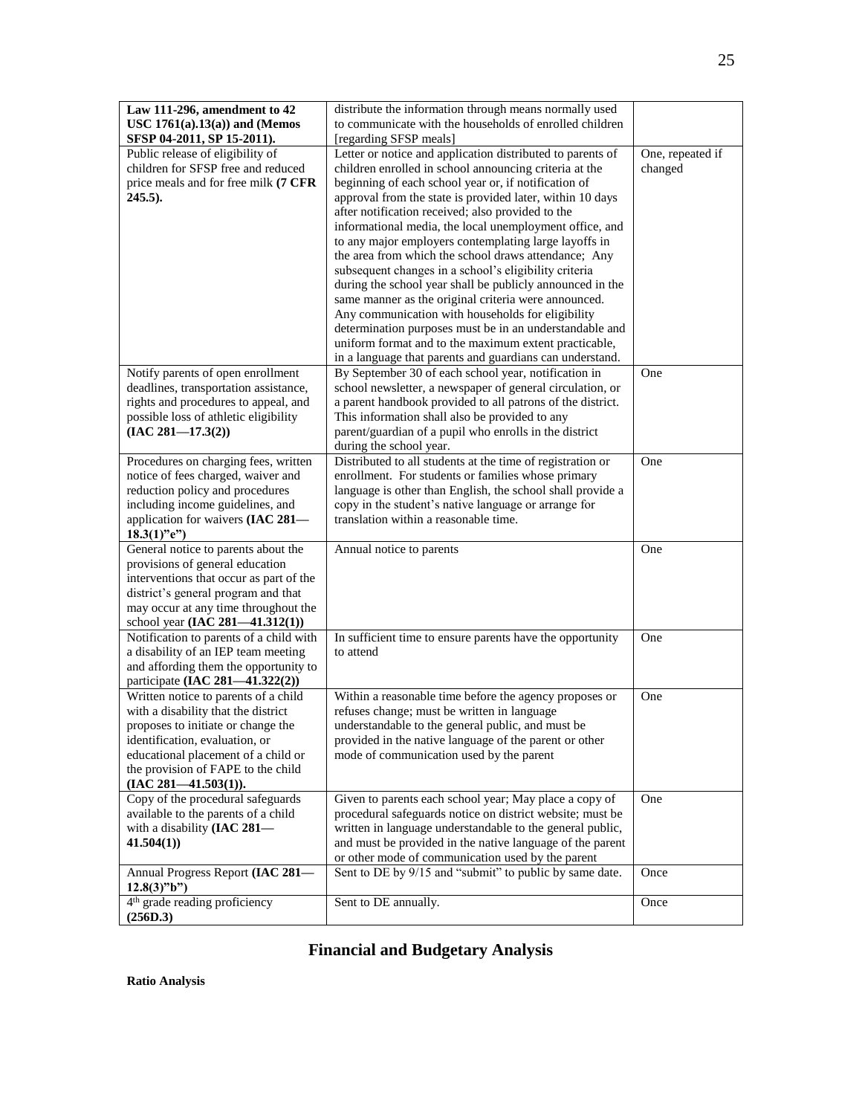| Law 111-296, amendment to 42                          | distribute the information through means normally used     |                  |
|-------------------------------------------------------|------------------------------------------------------------|------------------|
| USC $1761(a).13(a)$ ) and (Memos                      | to communicate with the households of enrolled children    |                  |
| SFSP 04-2011, SP 15-2011).                            | [regarding SFSP meals]                                     |                  |
| Public release of eligibility of                      | Letter or notice and application distributed to parents of | One, repeated if |
| children for SFSP free and reduced                    | children enrolled in school announcing criteria at the     | changed          |
| price meals and for free milk (7 CFR                  | beginning of each school year or, if notification of       |                  |
| $245.5$ ).                                            | approval from the state is provided later, within 10 days  |                  |
|                                                       | after notification received; also provided to the          |                  |
|                                                       | informational media, the local unemployment office, and    |                  |
|                                                       | to any major employers contemplating large layoffs in      |                  |
|                                                       | the area from which the school draws attendance; Any       |                  |
|                                                       | subsequent changes in a school's eligibility criteria      |                  |
|                                                       | during the school year shall be publicly announced in the  |                  |
|                                                       | same manner as the original criteria were announced.       |                  |
|                                                       | Any communication with households for eligibility          |                  |
|                                                       | determination purposes must be in an understandable and    |                  |
|                                                       | uniform format and to the maximum extent practicable,      |                  |
|                                                       | in a language that parents and guardians can understand.   |                  |
| Notify parents of open enrollment                     | By September 30 of each school year, notification in       | One              |
| deadlines, transportation assistance,                 | school newsletter, a newspaper of general circulation, or  |                  |
| rights and procedures to appeal, and                  | a parent handbook provided to all patrons of the district. |                  |
| possible loss of athletic eligibility                 | This information shall also be provided to any             |                  |
| $(IAC 281 - 17.3(2))$                                 | parent/guardian of a pupil who enrolls in the district     |                  |
|                                                       | during the school year.                                    |                  |
| Procedures on charging fees, written                  | Distributed to all students at the time of registration or | One              |
| notice of fees charged, waiver and                    | enrollment. For students or families whose primary         |                  |
| reduction policy and procedures                       | language is other than English, the school shall provide a |                  |
| including income guidelines, and                      | copy in the student's native language or arrange for       |                  |
| application for waivers (IAC 281-                     | translation within a reasonable time.                      |                  |
| $18.3(1)$ "e")<br>General notice to parents about the | Annual notice to parents                                   | One              |
| provisions of general education                       |                                                            |                  |
| interventions that occur as part of the               |                                                            |                  |
| district's general program and that                   |                                                            |                  |
| may occur at any time throughout the                  |                                                            |                  |
| school year (IAC 281-41.312(1))                       |                                                            |                  |
| Notification to parents of a child with               | In sufficient time to ensure parents have the opportunity  | One              |
| a disability of an IEP team meeting                   | to attend                                                  |                  |
| and affording them the opportunity to                 |                                                            |                  |
| participate (IAC 281-41.322(2))                       |                                                            |                  |
| Written notice to parents of a child                  | Within a reasonable time before the agency proposes or     | One              |
| with a disability that the district                   | refuses change; must be written in language                |                  |
| proposes to initiate or change the                    | understandable to the general public, and must be          |                  |
| identification, evaluation, or                        | provided in the native language of the parent or other     |                  |
| educational placement of a child or                   | mode of communication used by the parent                   |                  |
| the provision of FAPE to the child                    |                                                            |                  |
| $(IAC 281 - 41.503(1)).$                              |                                                            |                  |
| Copy of the procedural safeguards                     | Given to parents each school year; May place a copy of     | One              |
| available to the parents of a child                   | procedural safeguards notice on district website; must be  |                  |
| with a disability (IAC 281-                           | written in language understandable to the general public,  |                  |
| 41.504(1)                                             | and must be provided in the native language of the parent  |                  |
|                                                       | or other mode of communication used by the parent          |                  |
| Annual Progress Report (IAC 281-                      | Sent to DE by 9/15 and "submit" to public by same date.    | Once             |
| $12.8(3)$ "b")                                        |                                                            |                  |
| 4 <sup>th</sup> grade reading proficiency             | Sent to DE annually.                                       | Once             |
| (256D.3)                                              |                                                            |                  |

**Financial and Budgetary Analysis**

25